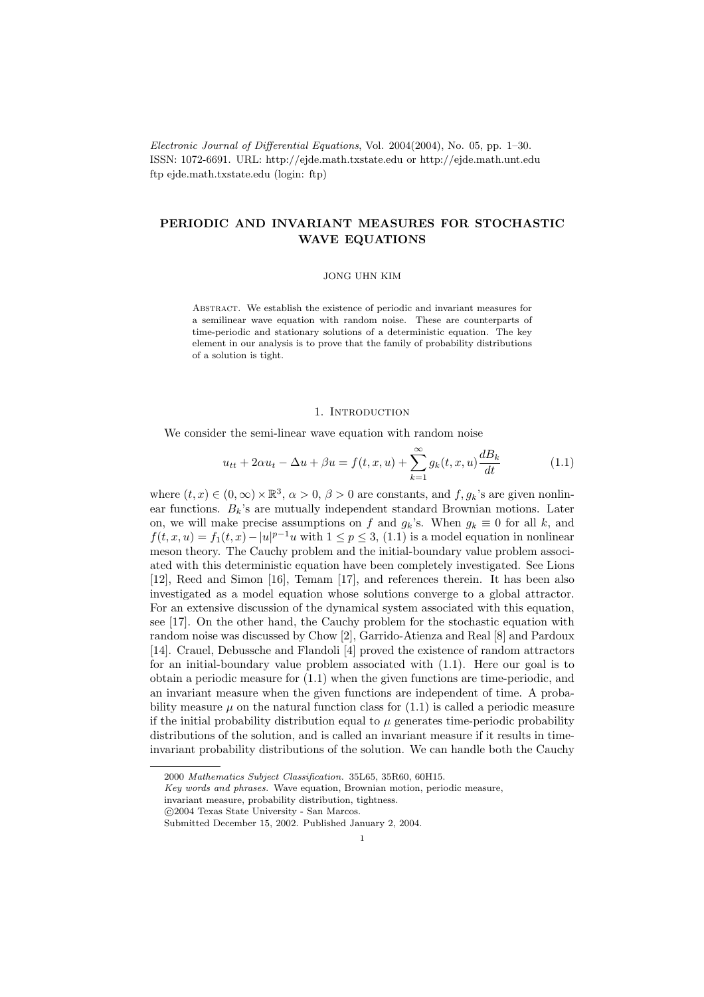Electronic Journal of Differential Equations, Vol. 2004(2004), No. 05, pp. 1–30. ISSN: 1072-6691. URL: http://ejde.math.txstate.edu or http://ejde.math.unt.edu ftp ejde.math.txstate.edu (login: ftp)

# PERIODIC AND INVARIANT MEASURES FOR STOCHASTIC WAVE EQUATIONS

#### JONG UHN KIM

Abstract. We establish the existence of periodic and invariant measures for a semilinear wave equation with random noise. These are counterparts of time-periodic and stationary solutions of a deterministic equation. The key element in our analysis is to prove that the family of probability distributions of a solution is tight.

### 1. INTRODUCTION

We consider the semi-linear wave equation with random noise

$$
u_{tt} + 2\alpha u_t - \Delta u + \beta u = f(t, x, u) + \sum_{k=1}^{\infty} g_k(t, x, u) \frac{dB_k}{dt}
$$
 (1.1)

where  $(t, x) \in (0, \infty) \times \mathbb{R}^3$ ,  $\alpha > 0$ ,  $\beta > 0$  are constants, and  $f, g_k$ 's are given nonlinear functions.  $B_k$ 's are mutually independent standard Brownian motions. Later on, we will make precise assumptions on f and  $g_k$ 's. When  $g_k \equiv 0$  for all k, and  $f(t, x, u) = f_1(t, x) - |u|^{p-1}u$  with  $1 \le p \le 3$ , (1.1) is a model equation in nonlinear meson theory. The Cauchy problem and the initial-boundary value problem associated with this deterministic equation have been completely investigated. See Lions [12], Reed and Simon [16], Temam [17], and references therein. It has been also investigated as a model equation whose solutions converge to a global attractor. For an extensive discussion of the dynamical system associated with this equation, see [17]. On the other hand, the Cauchy problem for the stochastic equation with random noise was discussed by Chow [2], Garrido-Atienza and Real [8] and Pardoux [14]. Crauel, Debussche and Flandoli [4] proved the existence of random attractors for an initial-boundary value problem associated with (1.1). Here our goal is to obtain a periodic measure for (1.1) when the given functions are time-periodic, and an invariant measure when the given functions are independent of time. A probability measure  $\mu$  on the natural function class for  $(1.1)$  is called a periodic measure if the initial probability distribution equal to  $\mu$  generates time-periodic probability distributions of the solution, and is called an invariant measure if it results in timeinvariant probability distributions of the solution. We can handle both the Cauchy

<sup>2000</sup> Mathematics Subject Classification. 35L65, 35R60, 60H15.

Key words and phrases. Wave equation, Brownian motion, periodic measure,

invariant measure, probability distribution, tightness.

c 2004 Texas State University - San Marcos.

Submitted December 15, 2002. Published January 2, 2004.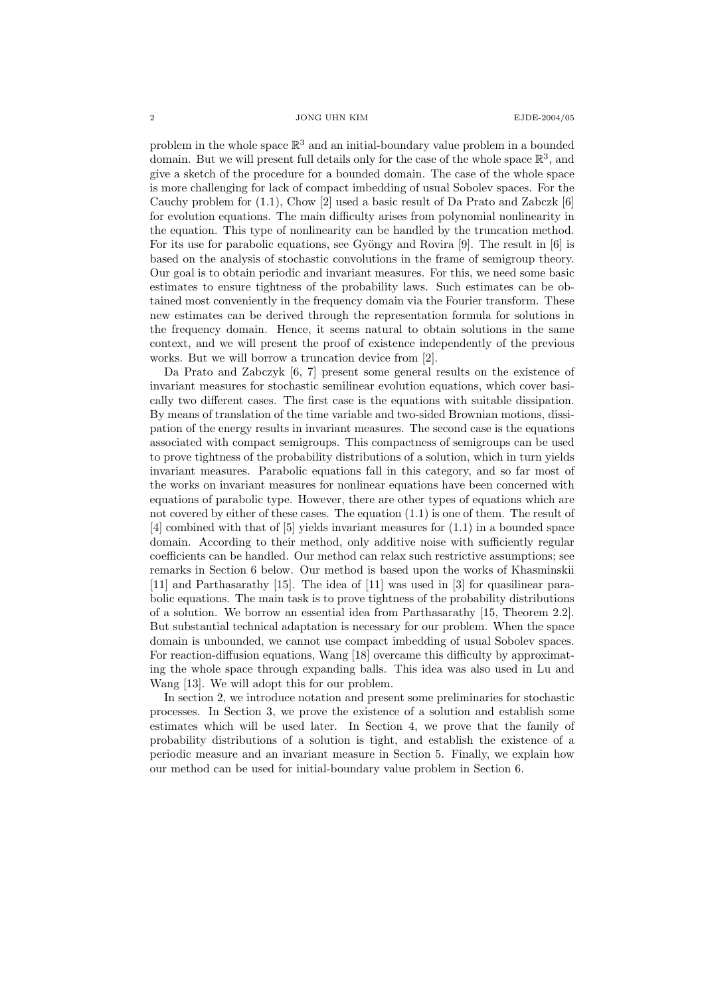problem in the whole space  $\mathbb{R}^3$  and an initial-boundary value problem in a bounded domain. But we will present full details only for the case of the whole space  $\mathbb{R}^3$ , and give a sketch of the procedure for a bounded domain. The case of the whole space is more challenging for lack of compact imbedding of usual Sobolev spaces. For the Cauchy problem for  $(1.1)$ , Chow [2] used a basic result of Da Prato and Zabczk [6] for evolution equations. The main difficulty arises from polynomial nonlinearity in the equation. This type of nonlinearity can be handled by the truncation method. For its use for parabolic equations, see Gyöngy and Rovira [9]. The result in [6] is based on the analysis of stochastic convolutions in the frame of semigroup theory. Our goal is to obtain periodic and invariant measures. For this, we need some basic estimates to ensure tightness of the probability laws. Such estimates can be obtained most conveniently in the frequency domain via the Fourier transform. These new estimates can be derived through the representation formula for solutions in the frequency domain. Hence, it seems natural to obtain solutions in the same context, and we will present the proof of existence independently of the previous works. But we will borrow a truncation device from [2].

Da Prato and Zabczyk [6, 7] present some general results on the existence of invariant measures for stochastic semilinear evolution equations, which cover basically two different cases. The first case is the equations with suitable dissipation. By means of translation of the time variable and two-sided Brownian motions, dissipation of the energy results in invariant measures. The second case is the equations associated with compact semigroups. This compactness of semigroups can be used to prove tightness of the probability distributions of a solution, which in turn yields invariant measures. Parabolic equations fall in this category, and so far most of the works on invariant measures for nonlinear equations have been concerned with equations of parabolic type. However, there are other types of equations which are not covered by either of these cases. The equation (1.1) is one of them. The result of [4] combined with that of [5] yields invariant measures for (1.1) in a bounded space domain. According to their method, only additive noise with sufficiently regular coefficients can be handled. Our method can relax such restrictive assumptions; see remarks in Section 6 below. Our method is based upon the works of Khasminskii [11] and Parthasarathy [15]. The idea of [11] was used in [3] for quasilinear parabolic equations. The main task is to prove tightness of the probability distributions of a solution. We borrow an essential idea from Parthasarathy [15, Theorem 2.2]. But substantial technical adaptation is necessary for our problem. When the space domain is unbounded, we cannot use compact imbedding of usual Sobolev spaces. For reaction-diffusion equations, Wang [18] overcame this difficulty by approximating the whole space through expanding balls. This idea was also used in Lu and Wang [13]. We will adopt this for our problem.

In section 2, we introduce notation and present some preliminaries for stochastic processes. In Section 3, we prove the existence of a solution and establish some estimates which will be used later. In Section 4, we prove that the family of probability distributions of a solution is tight, and establish the existence of a periodic measure and an invariant measure in Section 5. Finally, we explain how our method can be used for initial-boundary value problem in Section 6.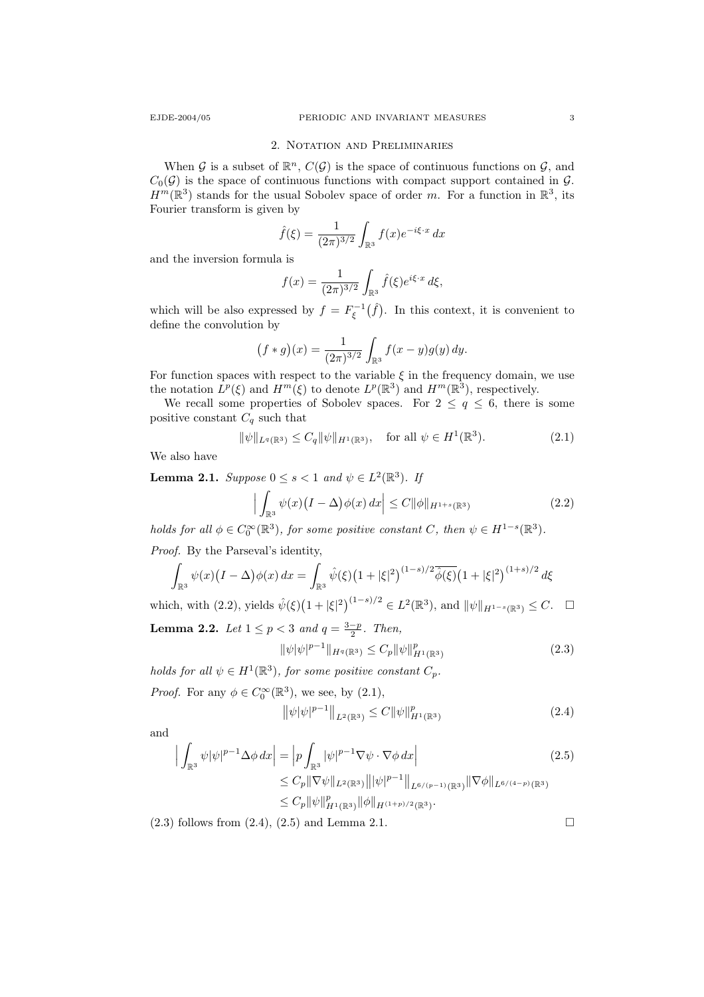### 2. Notation and Preliminaries

When G is a subset of  $\mathbb{R}^n$ ,  $C(G)$  is the space of continuous functions on G, and  $C_0(\mathcal{G})$  is the space of continuous functions with compact support contained in  $\mathcal{G}$ .  $H^m(\mathbb{R}^3)$  stands for the usual Sobolev space of order m. For a function in  $\mathbb{R}^3$ , its Fourier transform is given by

$$
\hat{f}(\xi) = \frac{1}{(2\pi)^{3/2}} \int_{\mathbb{R}^3} f(x) e^{-i\xi \cdot x} dx
$$

and the inversion formula is

$$
f(x) = \frac{1}{(2\pi)^{3/2}} \int_{\mathbb{R}^3} \hat{f}(\xi) e^{i\xi \cdot x} d\xi,
$$

which will be also expressed by  $f = F_{\xi}^{-1}(\hat{f})$ . In this context, it is convenient to define the convolution by

$$
(f * g)(x) = \frac{1}{(2\pi)^{3/2}} \int_{\mathbb{R}^3} f(x - y)g(y) \, dy.
$$

For function spaces with respect to the variable  $\xi$  in the frequency domain, we use the notation  $L^p(\xi)$  and  $H^m(\xi)$  to denote  $L^p(\mathbb{R}^3)$  and  $H^m(\mathbb{R}^3)$ , respectively.

We recall some properties of Sobolev spaces. For  $2 \le q \le 6$ , there is some positive constant  $C_q$  such that

$$
\|\psi\|_{L^{q}(\mathbb{R}^3)} \le C_q \|\psi\|_{H^1(\mathbb{R}^3)}, \quad \text{for all } \psi \in H^1(\mathbb{R}^3). \tag{2.1}
$$

We also have

**Lemma 2.1.** Suppose  $0 \le s < 1$  and  $\psi \in L^2(\mathbb{R}^3)$ . If

$$
\left| \int_{\mathbb{R}^3} \psi(x) \left( I - \Delta \right) \phi(x) \, dx \right| \le C \| \phi \|_{H^{1+s}(\mathbb{R}^3)} \tag{2.2}
$$

holds for all  $\phi \in C_0^{\infty}(\mathbb{R}^3)$ , for some positive constant C, then  $\psi \in H^{1-s}(\mathbb{R}^3)$ .

Proof. By the Parseval's identity,

$$
\int_{\mathbb{R}^3} \psi(x) (I - \Delta) \phi(x) dx = \int_{\mathbb{R}^3} \hat{\psi}(\xi) (1 + |\xi|^2)^{(1 - s)/2} \hat{\phi}(\xi) (1 + |\xi|^2)^{(1 + s)/2} d\xi
$$

which, with (2.2), yields  $\hat{\psi}(\xi)(1+|\xi|^2)^{(1-s)/2} \in L^2(\mathbb{R}^3)$ , and  $\|\psi\|_{H^{1-s}(\mathbb{R}^3)} \leq C. \quad \Box$ 

**Lemma 2.2.** Let  $1 \leq p < 3$  and  $q = \frac{3-p}{2}$ . Then,

$$
\|\psi|\psi|^{p-1}\|_{H^q(\mathbb{R}^3)} \le C_p \|\psi\|_{H^1(\mathbb{R}^3)}^p \tag{2.3}
$$

holds for all  $\psi \in H^1(\mathbb{R}^3)$ , for some positive constant  $C_p$ .

*Proof.* For any 
$$
\phi \in C_0^{\infty}(\mathbb{R}^3)
$$
, we see, by (2.1),  

$$
\|\psi|\psi|^{p-1}\|_{L^2(\mathbb{R}^3)} \leq C \|\psi\|_{H^1(\mathbb{R}^3)}^p
$$
(2.4)

and

$$
\left| \int_{\mathbb{R}^3} \psi |\psi|^{p-1} \Delta \phi \, dx \right| = \left| p \int_{\mathbb{R}^3} |\psi|^{p-1} \nabla \psi \cdot \nabla \phi \, dx \right|
$$
\n
$$
\leq C_p \|\nabla \psi\|_{L^2(\mathbb{R}^3)} \|\psi|^{p-1} \|_{L^{6/(p-1)}(\mathbb{R}^3)} \|\nabla \phi\|_{L^{6/(4-p)}(\mathbb{R}^3)}
$$
\n
$$
\leq C_p \|\psi\|_{H^1(\mathbb{R}^3)}^p \|\phi\|_{H^{(1+p)/2}(\mathbb{R}^3)}.
$$
\n(2.5)

 $(2.3)$  follows from  $(2.4)$ ,  $(2.5)$  and Lemma 2.1.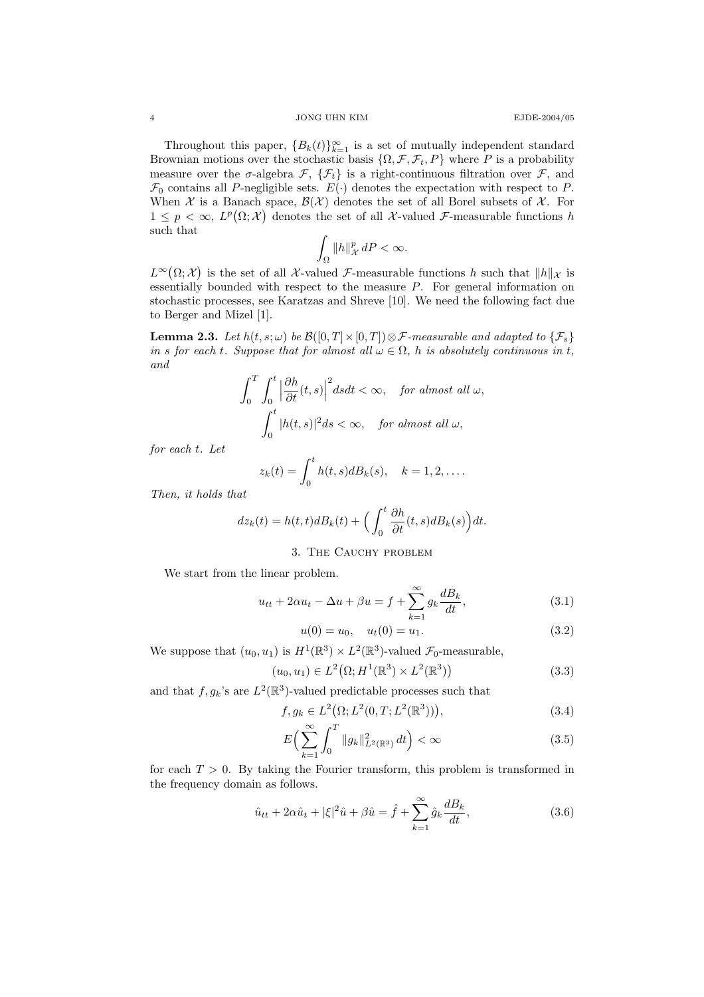4 JONG UHN KIM EJDE-2004/05

Throughout this paper,  ${B_k(t)}_{k=1}^\infty$  is a set of mutually independent standard Brownian motions over the stochastic basis  $\{\Omega, \mathcal{F}, \mathcal{F}_t, P\}$  where P is a probability measure over the  $\sigma$ -algebra  $\mathcal{F}, \{\mathcal{F}_t\}$  is a right-continuous filtration over  $\mathcal{F},$  and  $\mathcal{F}_0$  contains all P-negligible sets.  $E(\cdot)$  denotes the expectation with respect to P. When X is a Banach space,  $\mathcal{B}(\mathcal{X})$  denotes the set of all Borel subsets of X. For  $1 \leq p < \infty$ ,  $L^p(\Omega; \mathcal{X})$  denotes the set of all X-valued F-measurable functions h such that

$$
\int_{\Omega} \|h\|_{\mathcal{X}}^p \, dP < \infty.
$$

 $L^{\infty}(\Omega; \mathcal{X})$  is the set of all X-valued F-measurable functions h such that  $||h||_{\mathcal{X}}$  is essentially bounded with respect to the measure  $P$ . For general information on stochastic processes, see Karatzas and Shreve [10]. We need the following fact due to Berger and Mizel [1].

**Lemma 2.3.** Let  $h(t, s; \omega)$  be  $\mathcal{B}([0, T] \times [0, T]) \otimes \mathcal{F}$ -measurable and adapted to  $\{\mathcal{F}_s\}$ in s for each t. Suppose that for almost all  $\omega \in \Omega$ , h is absolutely continuous in t, and

$$
\int_0^T \int_0^t \left| \frac{\partial h}{\partial t}(t,s) \right|^2 ds dt < \infty, \quad \text{for almost all } \omega,
$$

$$
\int_0^t |h(t,s)|^2 ds < \infty, \quad \text{for almost all } \omega,
$$

for each t. Let

$$
z_k(t) = \int_0^t h(t,s)dB_k(s), \quad k = 1,2,\ldots.
$$

Then, it holds that

$$
dz_k(t) = h(t,t)dB_k(t) + \left(\int_0^t \frac{\partial h}{\partial t}(t,s)dB_k(s)\right)dt.
$$

## 3. THE CAUCHY PROBLEM

We start from the linear problem.

$$
u_{tt} + 2\alpha u_t - \Delta u + \beta u = f + \sum_{k=1}^{\infty} g_k \frac{dB_k}{dt},
$$
\n(3.1)

$$
u(0) = u_0, \quad u_t(0) = u_1. \tag{3.2}
$$

We suppose that  $(u_0, u_1)$  is  $H^1(\mathbb{R}^3) \times L^2(\mathbb{R}^3)$ -valued  $\mathcal{F}_0$ -measurable,

$$
(u_0, u_1) \in L^2(\Omega; H^1(\mathbb{R}^3) \times L^2(\mathbb{R}^3))
$$
\n(3.3)

and that  $f, g_k$ 's are  $L^2(\mathbb{R}^3)$ -valued predictable processes such that

$$
f, g_k \in L^2(\Omega; L^2(0, T; L^2(\mathbb{R}^3))), \tag{3.4}
$$

$$
E\Big(\sum_{k=1}^{\infty} \int_{0}^{T} \|g_{k}\|_{L^{2}(\mathbb{R}^{3})}^{2} dt\Big) < \infty
$$
\n(3.5)

for each  $T > 0$ . By taking the Fourier transform, this problem is transformed in the frequency domain as follows.

$$
\hat{u}_{tt} + 2\alpha \hat{u}_t + |\xi|^2 \hat{u} + \beta \hat{u} = \hat{f} + \sum_{k=1}^{\infty} \hat{g}_k \frac{dB_k}{dt},
$$
\n(3.6)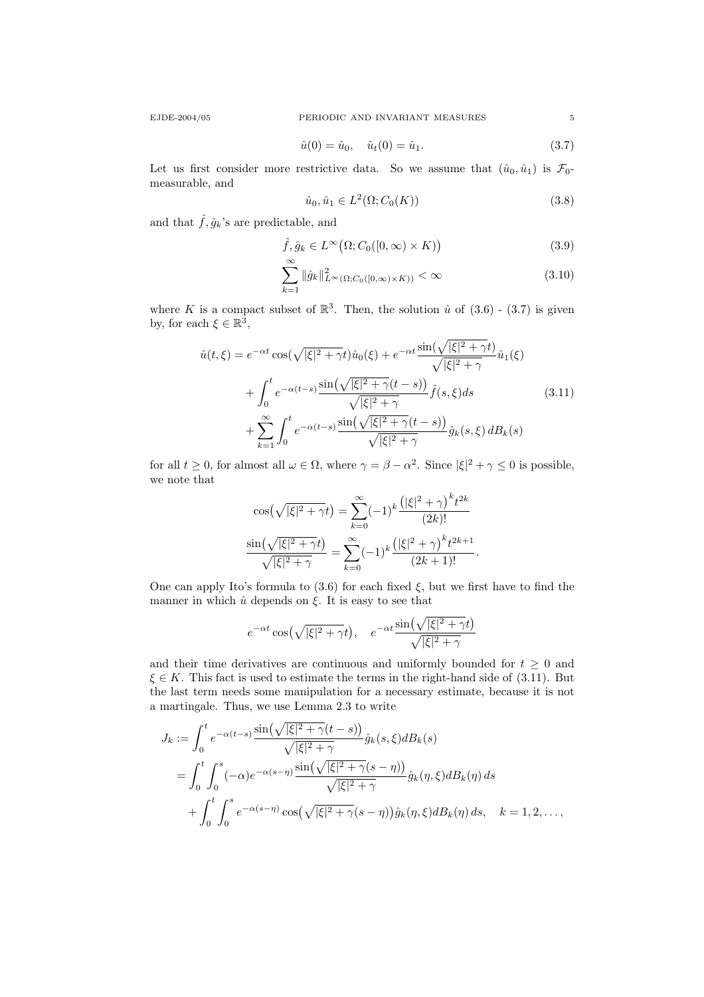EJDE-2004/05 PERIODIC AND INVARIANT MEASURES 5

$$
\hat{u}(0) = \hat{u}_0, \quad \hat{u}_t(0) = \hat{u}_1.
$$
\n(3.7)

Let us first consider more restrictive data. So we assume that  $(\hat{u}_0, \hat{u}_1)$  is  $\mathcal{F}_0$ measurable, and

$$
\hat{u}_0, \hat{u}_1 \in L^2(\Omega; C_0(K))
$$
\n(3.8)

and that  $\hat{f}, \hat{g}_k$ 's are predictable, and

$$
\hat{f}, \hat{g}_k \in L^{\infty}(\Omega; C_0([0, \infty) \times K))
$$
\n
$$
\infty \tag{3.9}
$$

$$
\sum_{k=1} \|\hat{g}_k\|_{L^{\infty}(\Omega; C_0([0,\infty)\times K))}^2 < \infty
$$
\n(3.10)

where K is a compact subset of  $\mathbb{R}^3$ . Then, the solution  $\hat{u}$  of  $(3.6)$  -  $(3.7)$  is given by, for each  $\xi \in \mathbb{R}^3$ ,

$$
\hat{u}(t,\xi) = e^{-\alpha t} \cos(\sqrt{|\xi|^2 + \gamma t}) \hat{u}_0(\xi) + e^{-\alpha t} \frac{\sin(\sqrt{|\xi|^2 + \gamma t})}{\sqrt{|\xi|^2 + \gamma}} \hat{u}_1(\xi)
$$

$$
+ \int_0^t e^{-\alpha(t-s)} \frac{\sin(\sqrt{|\xi|^2 + \gamma}(t-s))}{\sqrt{|\xi|^2 + \gamma}} \hat{f}(s,\xi) ds \qquad (3.11)
$$

$$
+ \sum_{k=1}^\infty \int_0^t e^{-\alpha(t-s)} \frac{\sin(\sqrt{|\xi|^2 + \gamma}(t-s))}{\sqrt{|\xi|^2 + \gamma}} \hat{g}_k(s,\xi) dB_k(s)
$$

for all  $t \geq 0$ , for almost all  $\omega \in \Omega$ , where  $\gamma = \beta - \alpha^2$ . Since  $|\xi|^2 + \gamma \leq 0$  is possible, we note that

$$
\cos(\sqrt{|\xi|^2 + \gamma t}) = \sum_{k=0}^{\infty} (-1)^k \frac{(|\xi|^2 + \gamma)^k t^{2k}}{(2k)!}
$$

$$
\frac{\sin(\sqrt{|\xi|^2 + \gamma t})}{\sqrt{|\xi|^2 + \gamma}} = \sum_{k=0}^{\infty} (-1)^k \frac{(|\xi|^2 + \gamma)^k t^{2k+1}}{(2k+1)!}.
$$

One can apply Ito's formula to  $(3.6)$  for each fixed  $\xi$ , but we first have to find the manner in which  $\hat{u}$  depends on  $\xi$ . It is easy to see that

$$
e^{-\alpha t}\cos(\sqrt{|\xi|^2 + \gamma}t), \quad e^{-\alpha t}\frac{\sin(\sqrt{|\xi|^2 + \gamma}t)}{\sqrt{|\xi|^2 + \gamma}}
$$

and their time derivatives are continuous and uniformly bounded for  $t \geq 0$  and  $\xi \in K$ . This fact is used to estimate the terms in the right-hand side of (3.11). But the last term needs some manipulation for a necessary estimate, because it is not a martingale. Thus, we use Lemma 2.3 to write

$$
J_k := \int_0^t e^{-\alpha(t-s)} \frac{\sin(\sqrt{|\xi|^2 + \gamma}(t-s))}{\sqrt{|\xi|^2 + \gamma}} \hat{g}_k(s,\xi) dB_k(s)
$$
  
= 
$$
\int_0^t \int_0^s (-\alpha) e^{-\alpha(s-\eta)} \frac{\sin(\sqrt{|\xi|^2 + \gamma}(s-\eta))}{\sqrt{|\xi|^2 + \gamma}} \hat{g}_k(\eta,\xi) dB_k(\eta) ds
$$
  
+ 
$$
\int_0^t \int_0^s e^{-\alpha(s-\eta)} \cos(\sqrt{|\xi|^2 + \gamma}(s-\eta)) \hat{g}_k(\eta,\xi) dB_k(\eta) ds, \quad k = 1, 2, ...,
$$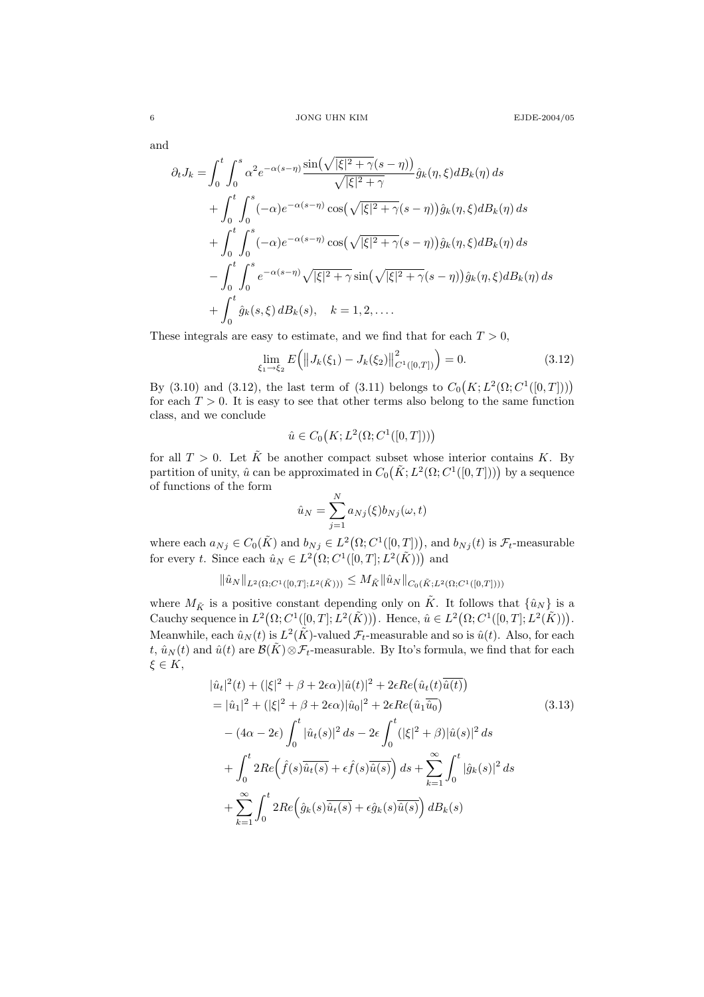and

$$
\partial_t J_k = \int_0^t \int_0^s \alpha^2 e^{-\alpha(s-\eta)} \frac{\sin(\sqrt{|\xi|^2 + \gamma}(s-\eta))}{\sqrt{|\xi|^2 + \gamma}} \hat{g}_k(\eta, \xi) dB_k(\eta) ds
$$
  
+ 
$$
\int_0^t \int_0^s (-\alpha) e^{-\alpha(s-\eta)} \cos(\sqrt{|\xi|^2 + \gamma}(s-\eta)) \hat{g}_k(\eta, \xi) dB_k(\eta) ds
$$
  
+ 
$$
\int_0^t \int_0^s (-\alpha) e^{-\alpha(s-\eta)} \cos(\sqrt{|\xi|^2 + \gamma}(s-\eta)) \hat{g}_k(\eta, \xi) dB_k(\eta) ds
$$
  
- 
$$
\int_0^t \int_0^s e^{-\alpha(s-\eta)} \sqrt{|\xi|^2 + \gamma} \sin(\sqrt{|\xi|^2 + \gamma}(s-\eta)) \hat{g}_k(\eta, \xi) dB_k(\eta) ds
$$
  
+ 
$$
\int_0^t \hat{g}_k(s, \xi) dB_k(s), \quad k = 1, 2, ....
$$

These integrals are easy to estimate, and we find that for each  $T > 0$ ,

$$
\lim_{\xi_1 \to \xi_2} E\Big( \big\| J_k(\xi_1) - J_k(\xi_2) \big\|_{C^1([0,T])}^2 \Big) = 0. \tag{3.12}
$$

By (3.10) and (3.12), the last term of (3.11) belongs to  $C_0(K; L^2(\Omega; C^1([0,T]))$ for each  $T > 0$ . It is easy to see that other terms also belong to the same function class, and we conclude

$$
\hat{u} \in C_0(K; L^2(\Omega; C^1([0,T]))
$$

for all  $T > 0$ . Let  $\tilde{K}$  be another compact subset whose interior contains K. By partition of unity,  $\hat{u}$  can be approximated in  $C_0(K; L^2(\Omega; C^1([0,T]))$  by a sequence of functions of the form

$$
\hat{u}_N = \sum_{j=1}^N a_{Nj}(\xi) b_{Nj}(\omega, t)
$$

where each  $a_{Nj} \in C_0(\tilde{K})$  and  $b_{Nj} \in L^2(\Omega; C^1([0,T]))$ , and  $b_{Nj}(t)$  is  $\mathcal{F}_t$ -measurable for every t. Since each  $\hat{u}_N \in L^2(\Omega; C^1([0,T]; L^2(\tilde{K})))$  and

$$
\|\hat{u}_N\|_{L^2(\Omega; C^1([0,T]; L^2(\tilde{K})))} \leq M_{\tilde{K}} \|\hat{u}_N\|_{C_0(\tilde{K}; L^2(\Omega; C^1([0,T])))}
$$

where  $M_{\tilde{K}}$  is a positive constant depending only on  $\tilde{K}$ . It follows that  $\{\hat{u}_N\}$  is a Cauchy sequence in  $L^2(\Omega; C^1([0,T]; L^2(\tilde{K})))$ . Hence,  $\hat{u} \in L^2(\Omega; C^1([0,T]; L^2(\tilde{K})))$ . Meanwhile, each  $\hat{u}_N(t)$  is  $L^2(\tilde{K})$ -valued  $\mathcal{F}_t$ -measurable and so is  $\hat{u}(t)$ . Also, for each t,  $\hat{u}_N(t)$  and  $\hat{u}(t)$  are  $\mathcal{B}(\tilde{K})\otimes\mathcal{F}_t$ -measurable. By Ito's formula, we find that for each  $\xi \in K$ ,

$$
|\hat{u}_t|^2(t) + (|\xi|^2 + \beta + 2\epsilon\alpha)|\hat{u}(t)|^2 + 2\epsilon Re(\hat{u}_t(t)\overline{\hat{u}(t)})
$$
  
\n=  $|\hat{u}_1|^2 + (|\xi|^2 + \beta + 2\epsilon\alpha)|\hat{u}_0|^2 + 2\epsilon Re(\hat{u}_1\overline{\hat{u}_0})$  (3.13)  
\n-  $(4\alpha - 2\epsilon) \int_0^t |\hat{u}_t(s)|^2 ds - 2\epsilon \int_0^t (|\xi|^2 + \beta)|\hat{u}(s)|^2 ds$   
\n+  $\int_0^t 2Re(\hat{f}(s)\overline{\hat{u}_t(s)} + \epsilon \hat{f}(s)\overline{\hat{u}(s)}) ds + \sum_{k=1}^\infty \int_0^t |\hat{g}_k(s)|^2 ds$   
\n+  $\sum_{k=1}^\infty \int_0^t 2Re(\hat{g}_k(s)\overline{\hat{u}_t(s)} + \epsilon \hat{g}_k(s)\overline{\hat{u}(s)}) dB_k(s)$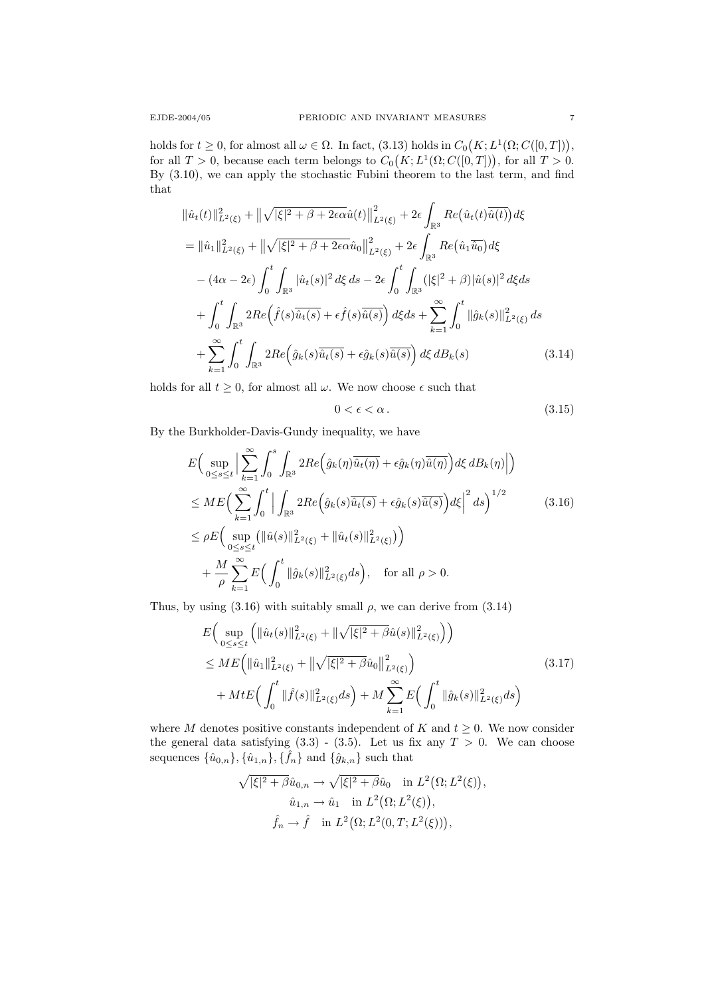holds for  $t \geq 0$ , for almost all  $\omega \in \Omega$ . In fact, (3.13) holds in  $C_0(K; L^1(\Omega; C([0, T]))$ , for all  $T > 0$ , because each term belongs to  $C_0(K; L^1(\Omega; C([0,T]))$ , for all  $T > 0$ . By (3.10), we can apply the stochastic Fubini theorem to the last term, and find that

$$
\|\hat{u}_{t}(t)\|_{L^{2}(\xi)}^{2} + \|\sqrt{|\xi|^{2} + \beta + 2\epsilon\alpha}\hat{u}(t)\|_{L^{2}(\xi)}^{2} + 2\epsilon \int_{\mathbb{R}^{3}} Re(\hat{u}_{t}(t)\overline{\hat{u}(t)}) d\xi
$$
  
\n
$$
= \|\hat{u}_{1}\|_{L^{2}(\xi)}^{2} + \|\sqrt{|\xi|^{2} + \beta + 2\epsilon\alpha}\hat{u}_{0}\|_{L^{2}(\xi)}^{2} + 2\epsilon \int_{\mathbb{R}^{3}} Re(\hat{u}_{1}\overline{\hat{u}_{0}}) d\xi
$$
  
\n
$$
- (4\alpha - 2\epsilon) \int_{0}^{t} \int_{\mathbb{R}^{3}} |\hat{u}_{t}(s)|^{2} d\xi ds - 2\epsilon \int_{0}^{t} \int_{\mathbb{R}^{3}} (|\xi|^{2} + \beta)|\hat{u}(s)|^{2} d\xi ds
$$
  
\n
$$
+ \int_{0}^{t} \int_{\mathbb{R}^{3}} 2Re(\hat{f}(s)\overline{\hat{u}_{t}(s)} + \epsilon \hat{f}(s)\overline{\hat{u}(s)}) d\xi ds + \sum_{k=1}^{\infty} \int_{0}^{t} \|\hat{g}_{k}(s)\|_{L^{2}(\xi)}^{2} ds
$$
  
\n
$$
+ \sum_{k=1}^{\infty} \int_{0}^{t} \int_{\mathbb{R}^{3}} 2Re(\hat{g}_{k}(s)\overline{\hat{u}_{t}(s)} + \epsilon \hat{g}_{k}(s)\overline{\hat{u}(s)}) d\xi dB_{k}(s)
$$
(3.14)

holds for all  $t \geq 0$ , for almost all  $\omega$ . We now choose  $\epsilon$  such that

$$
0 < \epsilon < \alpha. \tag{3.15}
$$

By the Burkholder-Davis-Gundy inequality, we have

$$
E\Big(\sup_{0\leq s\leq t}\Big|\sum_{k=1}^{\infty}\int_{0}^{s}\int_{\mathbb{R}^{3}}2Re\Big(\hat{g}_{k}(\eta)\overline{\hat{u}_{t}(\eta)} + \epsilon\hat{g}_{k}(\eta)\overline{\hat{u}(\eta)}\Big)d\xi\,dB_{k}(\eta)\Big|\Big) \leq ME\Big(\sum_{k=1}^{\infty}\int_{0}^{t}\Big|\int_{\mathbb{R}^{3}}2Re\Big(\hat{g}_{k}(s)\overline{\hat{u}_{t}(s)} + \epsilon\hat{g}_{k}(s)\overline{\hat{u}(s)}\Big)d\xi\Big|^{2}\,ds\Big)^{1/2} \leq \rho E\Big(\sup_{0\leq s\leq t}\big(\|\hat{u}(s)\|_{L^{2}(\xi)}^{2} + \|\hat{u}_{t}(s)\|_{L^{2}(\xi)}^{2}\big)\Big) + \frac{M}{\rho}\sum_{k=1}^{\infty}E\Big(\int_{0}^{t}\|\hat{g}_{k}(s)\|_{L^{2}(\xi)}^{2}\,ds\Big), \quad \text{for all } \rho > 0.
$$
 (3.16)

Thus, by using  $(3.16)$  with suitably small  $\rho$ , we can derive from  $(3.14)$ 

$$
E\Big(\sup_{0\leq s\leq t} \Big(\|\hat{u}_t(s)\|_{L^2(\xi)}^2 + \|\sqrt{|\xi|^2 + \beta}\hat{u}(s)\|_{L^2(\xi)}^2\Big)\Big) \leq ME\Big(\|\hat{u}_1\|_{L^2(\xi)}^2 + \|\sqrt{|\xi|^2 + \beta}\hat{u}_0\|_{L^2(\xi)}^2\Big) + MtE\Big(\int_0^t \|\hat{f}(s)\|_{L^2(\xi)}^2 ds\Big) + M \sum_{k=1}^\infty E\Big(\int_0^t \|\hat{g}_k(s)\|_{L^2(\xi)}^2 ds\Big)
$$
\n(3.17)

where M denotes positive constants independent of K and  $t \geq 0$ . We now consider the general data satisfying  $(3.3)$  -  $(3.5)$ . Let us fix any  $T > 0$ . We can choose sequences  $\{\hat{u}_{0,n}\}, \{\hat{u}_{1,n}\}, \{\hat{f}_n\}$  and  $\{\hat{g}_{k,n}\}$  such that

$$
\sqrt{|\xi|^2 + \beta}\hat{u}_{0,n} \to \sqrt{|\xi|^2 + \beta}\hat{u}_0 \quad \text{in } L^2(\Omega; L^2(\xi)),
$$
  

$$
\hat{u}_{1,n} \to \hat{u}_1 \quad \text{in } L^2(\Omega; L^2(\xi)),
$$
  

$$
\hat{f}_n \to \hat{f} \quad \text{in } L^2(\Omega; L^2(0,T; L^2(\xi))),
$$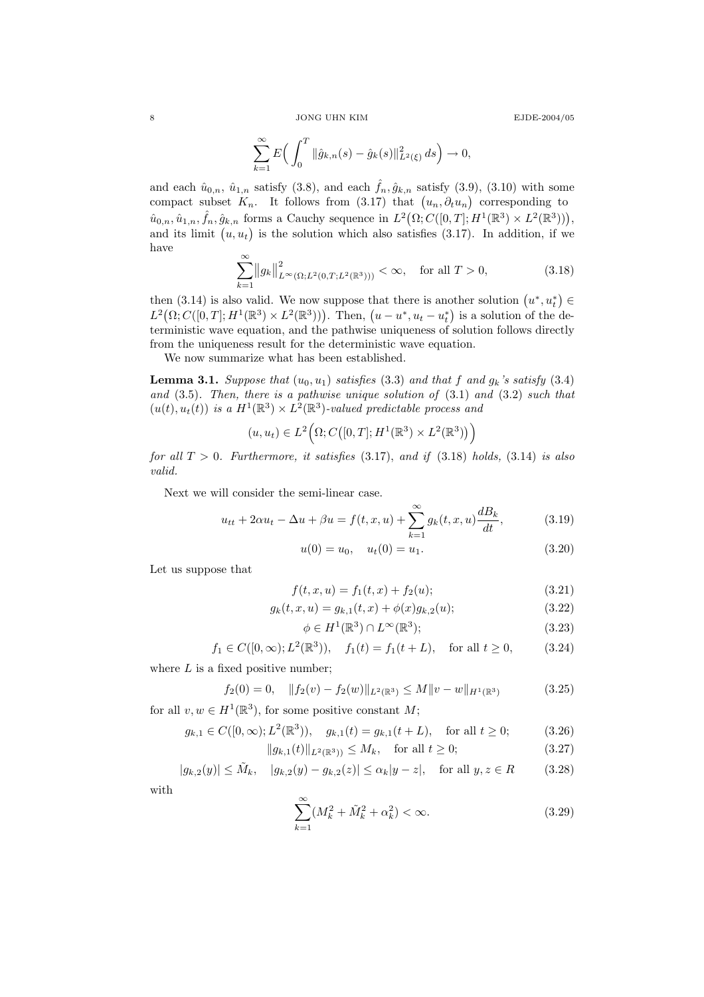$8$   $\,$   $\,$  JONG UHN KIM  $\,$ 

$$
E\mathrm{JDE}\text{-}2004/05
$$

$$
\sum_{k=1}^{\infty} E\Big(\int_0^T \|\hat{g}_{k,n}(s) - \hat{g}_k(s)\|_{L^2(\xi)}^2 ds\Big) \to 0,
$$

and each  $\hat{u}_{0,n}$ ,  $\hat{u}_{1,n}$  satisfy (3.8), and each  $\hat{f}_n, \hat{g}_{k,n}$  satisfy (3.9), (3.10) with some compact subset  $K_n$ . It follows from (3.17) that  $(u_n, \partial_t u_n)$  corresponding to  $\hat{u}_{0,n}, \hat{u}_{1,n}, \hat{f}_n, \hat{g}_{k,n}$  forms a Cauchy sequence in  $L^2(\Omega; C([0,T]; H^1(\mathbb{R}^3) \times L^2(\mathbb{R}^3))),$ and its limit  $(u, u_t)$  is the solution which also satisfies  $(3.17)$ . In addition, if we have

$$
\sum_{k=1}^{\infty} ||g_k||_{L^{\infty}(\Omega; L^2(0,T; L^2(\mathbb{R}^3)))}^2 < \infty, \text{ for all } T > 0,
$$
\n(3.18)

then (3.14) is also valid. We now suppose that there is another solution  $(u^*, u_t^*) \in$  $L^2(\Omega; C([0,T]; H^1(\mathbb{R}^3) \times L^2(\mathbb{R}^3)))$ . Then,  $(u - u^*, u_t - u_t^*)$  is a solution of the deterministic wave equation, and the pathwise uniqueness of solution follows directly from the uniqueness result for the deterministic wave equation.

We now summarize what has been established.

**Lemma 3.1.** Suppose that  $(u_0, u_1)$  satisfies (3.3) and that f and  $g_k$ 's satisfy (3.4) and (3.5). Then, there is a pathwise unique solution of (3.1) and (3.2) such that  $(u(t), u_t(t))$  is a  $H^1(\mathbb{R}^3) \times L^2(\mathbb{R}^3)$ -valued predictable process and

$$
(u, u_t) \in L^2(\Omega; C([0, T]; H^1(\mathbb{R}^3) \times L^2(\mathbb{R}^3)))
$$

for all  $T > 0$ . Furthermore, it satisfies  $(3.17)$ , and if  $(3.18)$  holds,  $(3.14)$  is also valid.

Next we will consider the semi-linear case.

$$
u_{tt} + 2\alpha u_t - \Delta u + \beta u = f(t, x, u) + \sum_{k=1}^{\infty} g_k(t, x, u) \frac{dB_k}{dt},
$$
 (3.19)

$$
u(0) = u_0, \quad u_t(0) = u_1. \tag{3.20}
$$

Let us suppose that

$$
f(t, x, u) = f_1(t, x) + f_2(u); \tag{3.21}
$$

$$
g_k(t, x, u) = g_{k,1}(t, x) + \phi(x)g_{k,2}(u); \qquad (3.22)
$$

$$
\phi \in H^1(\mathbb{R}^3) \cap L^\infty(\mathbb{R}^3); \tag{3.23}
$$

$$
f_1 \in C([0,\infty); L^2(\mathbb{R}^3)), \quad f_1(t) = f_1(t+L), \quad \text{for all } t \ge 0,
$$
 (3.24)

where  $L$  is a fixed positive number;

$$
f_2(0) = 0, \quad ||f_2(v) - f_2(w)||_{L^2(\mathbb{R}^3)} \le M||v - w||_{H^1(\mathbb{R}^3)} \tag{3.25}
$$

for all  $v, w \in H^1(\mathbb{R}^3)$ , for some positive constant  $M$ ;

$$
g_{k,1} \in C([0,\infty); L^2(\mathbb{R}^3)), \quad g_{k,1}(t) = g_{k,1}(t+L), \quad \text{for all } t \ge 0;
$$
 (3.26)

$$
||g_{k,1}(t)||_{L^2(\mathbb{R}^3))} \le M_k, \quad \text{for all } t \ge 0;
$$
\n(3.27)

$$
|g_{k,2}(y)| \le \tilde{M}_k, \quad |g_{k,2}(y) - g_{k,2}(z)| \le \alpha_k |y - z|, \quad \text{for all } y, z \in R \tag{3.28}
$$

with

$$
\sum_{k=1}^{\infty} (M_k^2 + \tilde{M}_k^2 + \alpha_k^2) < \infty. \tag{3.29}
$$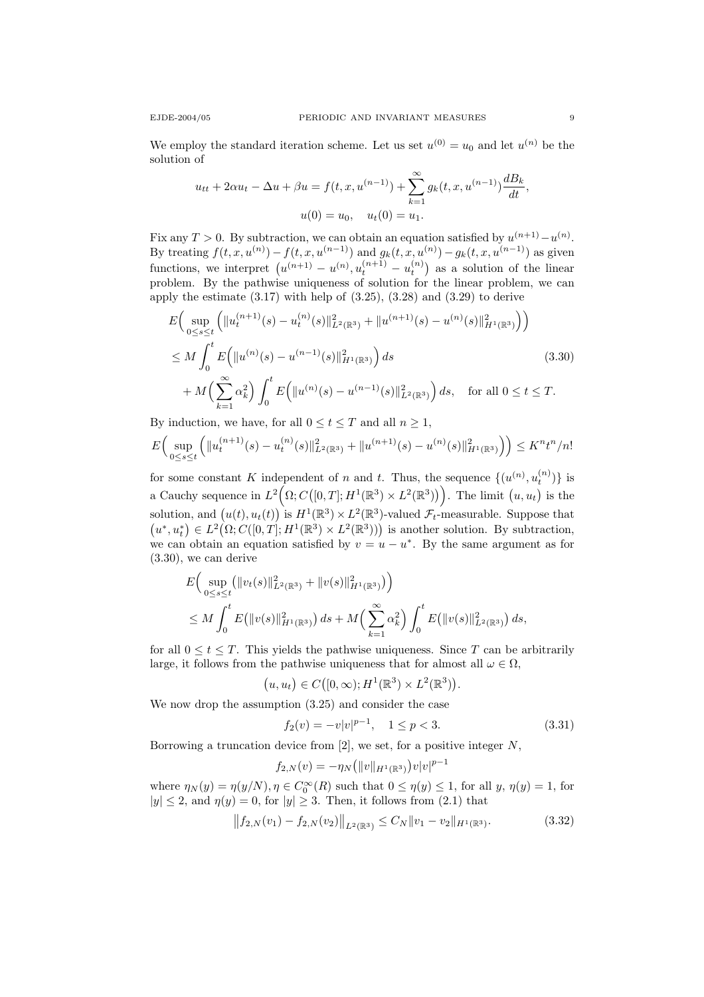We employ the standard iteration scheme. Let us set  $u^{(0)} = u_0$  and let  $u^{(n)}$  be the solution of

$$
u_{tt} + 2\alpha u_t - \Delta u + \beta u = f(t, x, u^{(n-1)}) + \sum_{k=1}^{\infty} g_k(t, x, u^{(n-1)}) \frac{dB_k}{dt},
$$
  

$$
u(0) = u_0, \quad u_t(0) = u_1.
$$

Fix any  $T > 0$ . By subtraction, we can obtain an equation satisfied by  $u^{(n+1)} - u^{(n)}$ . By treating  $f(t, x, u^{(n)}) - f(t, x, u^{(n-1)})$  and  $g_k(t, x, u^{(n)}) - g_k(t, x, u^{(n-1)})$  as given functions, we interpret  $(u^{(n+1)} - u^{(n)}, u_t^{(n+1)} - u_t^{(n)})$  as a solution of the linear problem. By the pathwise uniqueness of solution for the linear problem, we can apply the estimate  $(3.17)$  with help of  $(3.25)$ ,  $(3.28)$  and  $(3.29)$  to derive

$$
E\Big(\sup_{0\leq s\leq t}\Big(\|u_t^{(n+1)}(s) - u_t^{(n)}(s)\|_{L^2(\mathbb{R}^3)}^2 + \|u^{(n+1)}(s) - u^{(n)}(s)\|_{H^1(\mathbb{R}^3)}^2\Big)\Big) \leq M \int_0^t E\Big(\|u^{(n)}(s) - u^{(n-1)}(s)\|_{H^1(\mathbb{R}^3)}^2\Big) ds
$$
\n
$$
+ M\Big(\sum_{k=1}^\infty \alpha_k^2\Big) \int_0^t E\Big(\|u^{(n)}(s) - u^{(n-1)}(s)\|_{L^2(\mathbb{R}^3)}^2\Big) ds, \quad \text{for all } 0 \leq t \leq T.
$$
\n(3.30)

By induction, we have, for all  $0 \le t \le T$  and all  $n \ge 1$ ,

$$
E\Big(\sup_{0\leq s\leq t}\Big(\|u_t^{(n+1)}(s)-u_t^{(n)}(s)\|^2_{L^2(\mathbb{R}^3)}+\|u^{(n+1)}(s)-u^{(n)}(s)\|^2_{H^1(\mathbb{R}^3)}\Big)\Big)\leq K^nt^n/n!
$$

for some constant K independent of n and t. Thus, the sequence  $\{(u^{(n)}, u_t^{(n)})\}$  is a Cauchy sequence in  $L^2(\Omega; C([0,T]; H^1(\mathbb{R}^3) \times L^2(\mathbb{R}^3)))$ . The limit  $(u, u_t)$  is the solution, and  $(u(t), u_t(t))$  is  $H^1(\mathbb{R}^3) \times L^2(\mathbb{R}^3)$ -valued  $\mathcal{F}_t$ -measurable. Suppose that  $(u^*, u_t^*) \in L^2(\Omega; C([0,T]; H^1(\mathbb{R}^3) \times L^2(\mathbb{R}^3)))$  is another solution. By subtraction, we can obtain an equation satisfied by  $v = u - u^*$ . By the same argument as for (3.30), we can derive

$$
E\Big(\sup_{0\leq s\leq t}(\|v_t(s)\|_{L^2(\mathbb{R}^3)}^2 + \|v(s)\|_{H^1(\mathbb{R}^3)}^2)\Big)\leq M\int_0^t E\big(\|v(s)\|_{H^1(\mathbb{R}^3)}^2\big) ds + M\Big(\sum_{k=1}^\infty \alpha_k^2\Big) \int_0^t E\big(\|v(s)\|_{L^2(\mathbb{R}^3)}^2\big) ds,
$$

for all  $0 \le t \le T$ . This yields the pathwise uniqueness. Since T can be arbitrarily large, it follows from the pathwise uniqueness that for almost all  $\omega \in \Omega$ ,

$$
(u, u_t) \in C([0, \infty); H^1(\mathbb{R}^3) \times L^2(\mathbb{R}^3)).
$$

We now drop the assumption (3.25) and consider the case

$$
f_2(v) = -v|v|^{p-1}, \quad 1 \le p < 3. \tag{3.31}
$$

Borrowing a truncation device from  $[2]$ , we set, for a positive integer N,

$$
f_{2,N}(v) = -\eta_N(|v||_{H^1(\mathbb{R}^3)})v|v|^{p-1}
$$

where  $\eta_N(y) = \eta(y/N)$ ,  $\eta \in C_0^{\infty}(R)$  such that  $0 \le \eta(y) \le 1$ , for all  $y, \eta(y) = 1$ , for  $|y| \leq 2$ , and  $\eta(y) = 0$ , for  $|y| \geq 3$ . Then, it follows from (2.1) that

$$
||f_{2,N}(v_1) - f_{2,N}(v_2)||_{L^2(\mathbb{R}^3)} \le C_N ||v_1 - v_2||_{H^1(\mathbb{R}^3)}.
$$
\n(3.32)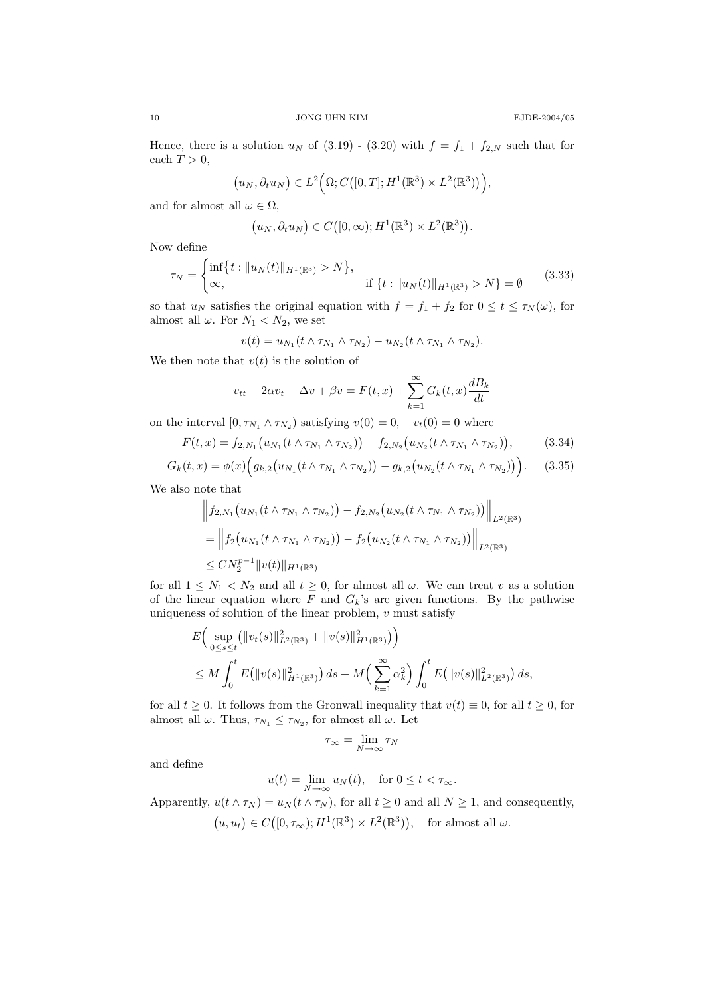Hence, there is a solution  $u_N$  of (3.19) - (3.20) with  $f = f_1 + f_{2,N}$  such that for each  $T > 0$ ,

$$
(u_N, \partial_t u_N) \in L^2(\Omega; C([0,T]; H^1(\mathbb{R}^3) \times L^2(\mathbb{R}^3))),
$$

and for almost all  $\omega \in \Omega$ ,

$$
(u_N, \partial_t u_N) \in C([0, \infty); H^1(\mathbb{R}^3) \times L^2(\mathbb{R}^3)).
$$

Now define

$$
\tau_N = \begin{cases} \inf\{t : \|u_N(t)\|_{H^1(\mathbb{R}^3)} > N\}, \\ \infty, \end{cases} \quad \text{if } \{t : \|u_N(t)\|_{H^1(\mathbb{R}^3)} > N\} = \emptyset \tag{3.33}
$$

so that  $u_N$  satisfies the original equation with  $f = f_1 + f_2$  for  $0 \le t \le \tau_N(\omega)$ , for almost all  $\omega$ . For  $N_1 < N_2$ , we set

$$
v(t) = u_{N_1}(t \wedge \tau_{N_1} \wedge \tau_{N_2}) - u_{N_2}(t \wedge \tau_{N_1} \wedge \tau_{N_2}).
$$

We then note that  $v(t)$  is the solution of

$$
v_{tt} + 2\alpha v_t - \Delta v + \beta v = F(t, x) + \sum_{k=1}^{\infty} G_k(t, x) \frac{dB_k}{dt}
$$

on the interval  $[0, \tau_{N_1} \wedge \tau_{N_2})$  satisfying  $v(0) = 0$ ,  $v_t(0) = 0$  where

$$
F(t,x) = f_{2,N_1}(u_{N_1}(t \wedge \tau_{N_1} \wedge \tau_{N_2})) - f_{2,N_2}(u_{N_2}(t \wedge \tau_{N_1} \wedge \tau_{N_2})), \qquad (3.34)
$$

$$
G_k(t,x) = \phi(x) \Big( g_{k,2} \big( u_{N_1}(t \wedge \tau_{N_1} \wedge \tau_{N_2}) \big) - g_{k,2} \big( u_{N_2}(t \wedge \tau_{N_1} \wedge \tau_{N_2}) \big) \Big). \tag{3.35}
$$

We also note that

$$
\|f_{2,N_1}(u_{N_1}(t \wedge \tau_{N_1} \wedge \tau_{N_2})) - f_{2,N_2}(u_{N_2}(t \wedge \tau_{N_1} \wedge \tau_{N_2}))\|_{L^2(\mathbb{R}^3)}
$$
  
= 
$$
\left\|f_2(u_{N_1}(t \wedge \tau_{N_1} \wedge \tau_{N_2})) - f_2(u_{N_2}(t \wedge \tau_{N_1} \wedge \tau_{N_2}))\right\|_{L^2(\mathbb{R}^3)}
$$
  
\$\leq CN\_2^{p-1} \|v(t)\|\_{H^1(\mathbb{R}^3)}

for all  $1 \leq N_1 < N_2$  and all  $t \geq 0$ , for almost all  $\omega$ . We can treat v as a solution of the linear equation where  $F$  and  $G_k$ 's are given functions. By the pathwise uniqueness of solution of the linear problem,  $v$  must satisfy

$$
E\Big(\sup_{0\leq s\leq t}(\|v_t(s)\|_{L^2(\mathbb{R}^3)}^2 + \|v(s)\|_{H^1(\mathbb{R}^3)}^2)\Big) \leq M \int_0^t E\big(\|v(s)\|_{H^1(\mathbb{R}^3)}^2\big) ds + M\Big(\sum_{k=1}^\infty \alpha_k^2\Big) \int_0^t E\big(\|v(s)\|_{L^2(\mathbb{R}^3)}^2\big) ds,
$$

for all  $t \geq 0$ . It follows from the Gronwall inequality that  $v(t) \equiv 0$ , for all  $t \geq 0$ , for almost all  $\omega$ . Thus,  $\tau_{N_1} \leq \tau_{N_2}$ , for almost all  $\omega$ . Let

$$
\tau_\infty = \lim_{N \to \infty} \tau_N
$$

and define

$$
u(t) = \lim_{N \to \infty} u_N(t), \quad \text{for } 0 \le t < \tau_\infty.
$$

Apparently,  $u(t \wedge \tau_N) = u_N(t \wedge \tau_N)$ , for all  $t \geq 0$  and all  $N \geq 1$ , and consequently,  $(u, u_t) \in C([0, \tau_{\infty}); H^1(\mathbb{R}^3) \times L^2(\mathbb{R}^3)), \text{ for almost all } \omega.$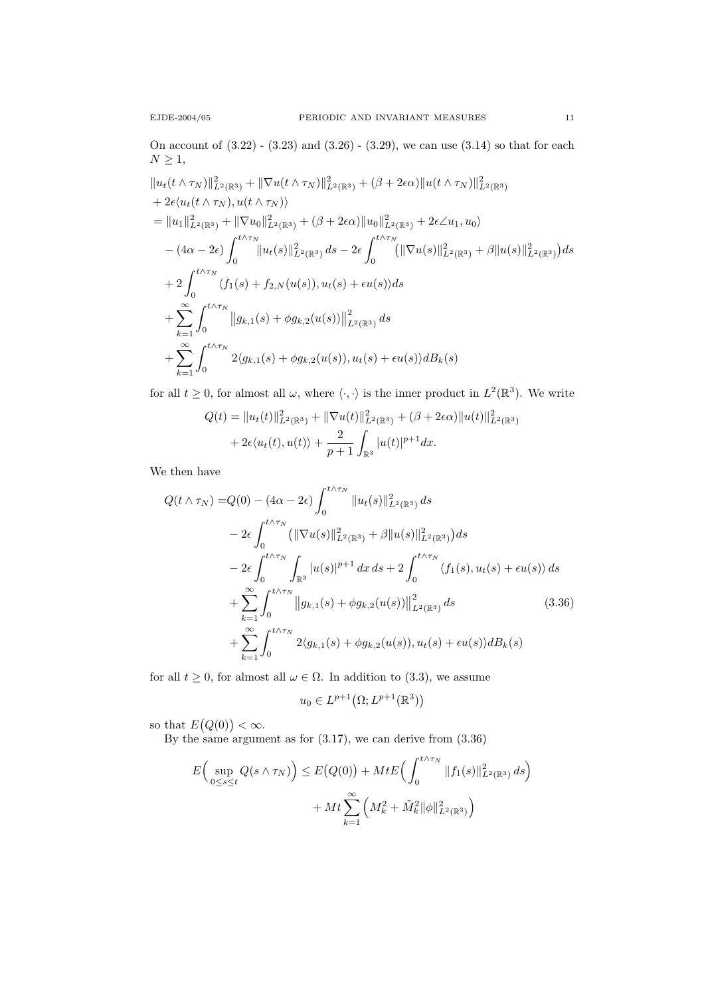On account of (3.22) - (3.23) and (3.26) - (3.29), we can use (3.14) so that for each  $N \geq 1$ ,

$$
||u_t(t \wedge \tau_N)||_{L^2(\mathbb{R}^3)}^2 + ||\nabla u(t \wedge \tau_N)||_{L^2(\mathbb{R}^3)}^2 + (\beta + 2\epsilon\alpha)||u(t \wedge \tau_N)||_{L^2(\mathbb{R}^3)}^2
$$
  
+  $2\epsilon \langle u_t(t \wedge \tau_N), u(t \wedge \tau_N) \rangle$   
=  $||u_1||_{L^2(\mathbb{R}^3)}^2 + ||\nabla u_0||_{L^2(\mathbb{R}^3)}^2 + (\beta + 2\epsilon\alpha)||u_0||_{L^2(\mathbb{R}^3)}^2 + 2\epsilon \angle u_1, u_0\rangle$   
-  $(4\alpha - 2\epsilon) \int_0^{t \wedge \tau_N} ||u_t(s)||_{L^2(\mathbb{R}^3)}^2 ds - 2\epsilon \int_0^{t \wedge \tau_N} (||\nabla u(s)||_{L^2(\mathbb{R}^3)}^2 + \beta ||u(s)||_{L^2(\mathbb{R}^3)}^2) ds$   
+  $2 \int_0^{t \wedge \tau_N} \langle f_1(s) + f_{2,N}(u(s)), u_t(s) + \epsilon u(s) \rangle ds$   
+  $\sum_{k=1}^{\infty} \int_0^{t \wedge \tau_N} ||g_{k,1}(s) + \phi g_{k,2}(u(s))||_{L^2(\mathbb{R}^3)}^2 ds$   
+  $\sum_{k=1}^{\infty} \int_0^{t \wedge \tau_N} 2\langle g_{k,1}(s) + \phi g_{k,2}(u(s)), u_t(s) + \epsilon u(s) \rangle dB_k(s)$ 

for all  $t \geq 0$ , for almost all  $\omega$ , where  $\langle \cdot, \cdot \rangle$  is the inner product in  $L^2(\mathbb{R}^3)$ . We write

$$
Q(t) = ||u_t(t)||_{L^2(\mathbb{R}^3)}^2 + ||\nabla u(t)||_{L^2(\mathbb{R}^3)}^2 + (\beta + 2\epsilon\alpha)||u(t)||_{L^2(\mathbb{R}^3)}^2 + 2\epsilon\langle u_t(t), u(t) \rangle + \frac{2}{p+1} \int_{\mathbb{R}^3} |u(t)|^{p+1} dx.
$$

We then have

$$
Q(t \wedge \tau_N) = Q(0) - (4\alpha - 2\epsilon) \int_0^{t \wedge \tau_N} ||u_t(s)||_{L^2(\mathbb{R}^3)}^2 ds
$$
  
\n
$$
- 2\epsilon \int_0^{t \wedge \tau_N} (||\nabla u(s)||_{L^2(\mathbb{R}^3)}^2 + \beta ||u(s)||_{L^2(\mathbb{R}^3)}^2) ds
$$
  
\n
$$
- 2\epsilon \int_0^{t \wedge \tau_N} \int_{\mathbb{R}^3} |u(s)|^{p+1} dx ds + 2 \int_0^{t \wedge \tau_N} \langle f_1(s), u_t(s) + \epsilon u(s) \rangle ds
$$
  
\n
$$
+ \sum_{k=1}^\infty \int_0^{t \wedge \tau_N} ||g_{k,1}(s) + \phi g_{k,2}(u(s))||_{L^2(\mathbb{R}^3)}^2 ds
$$
(3.36)  
\n
$$
+ \sum_{k=1}^\infty \int_0^{t \wedge \tau_N} 2 \langle g_{k,1}(s) + \phi g_{k,2}(u(s)), u_t(s) + \epsilon u(s) \rangle dB_k(s)
$$

for all  $t \geq 0$ , for almost all  $\omega \in \Omega$ . In addition to (3.3), we assume

$$
u_0 \in L^{p+1}(\Omega; L^{p+1}(\mathbb{R}^3))
$$

so that  $E(Q(0)) < \infty$ .

By the same argument as for  $(3.17)$ , we can derive from  $(3.36)$ 

$$
E\Big(\sup_{0\leq s\leq t} Q(s\wedge \tau_N)\Big) \leq E\big(Q(0)\big) + Mt E\Big(\int_0^{t\wedge \tau_N} \|f_1(s)\|_{L^2(\mathbb{R}^3)}^2 ds\Big) + Mt \sum_{k=1}^{\infty} \Big(M_k^2 + \tilde{M}_k^2 \|\phi\|_{L^2(\mathbb{R}^3)}^2\Big)
$$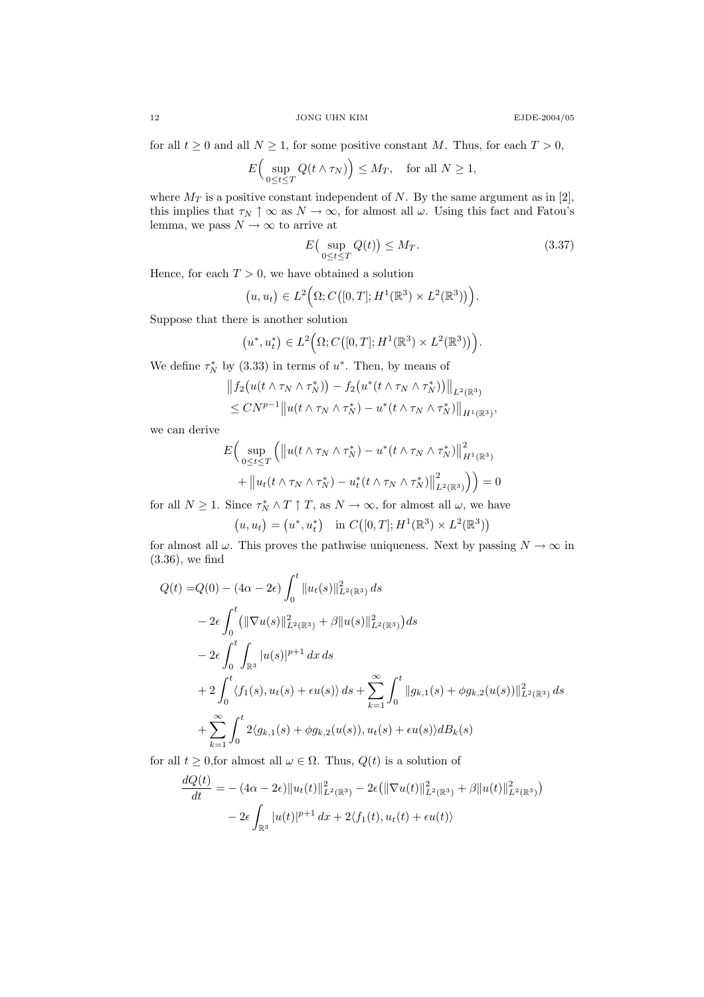for all  $t \ge 0$  and all  $N \ge 1$ , for some positive constant M. Thus, for each  $T > 0$ ,

$$
E\Big(\sup_{0\leq t\leq T} Q(t\wedge \tau_N)\Big)\leq M_T,\quad \text{for all }N\geq 1,
$$

where  $M_T$  is a positive constant independent of N. By the same argument as in [2], this implies that  $\tau_N \uparrow \infty$  as  $N \to \infty$ , for almost all  $\omega$ . Using this fact and Fatou's lemma, we pass  $N \to \infty$  to arrive at

$$
E\left(\sup_{0\leq t\leq T} Q(t)\right) \leq M_T. \tag{3.37}
$$

Hence, for each  $T > 0$ , we have obtained a solution

$$
(u, u_t) \in L^2(\Omega; C([0, T]; H^1(\mathbb{R}^3) \times L^2(\mathbb{R}^3)))
$$

Suppose that there is another solution

$$
(u^*, u_t^*) \in L^2(\Omega; C([0,T]; H^1(\mathbb{R}^3) \times L^2(\mathbb{R}^3))).
$$

We define  $\tau_N^*$  by (3.33) in terms of  $u^*$ . Then, by means of

$$
||f_2(u(t\wedge \tau_N\wedge \tau_N^*)) - f_2(u^*(t\wedge \tau_N\wedge \tau_N^*))||_{L^2(\mathbb{R}^3)}
$$
  
\n
$$
\leq CN^{p-1} ||u(t\wedge \tau_N\wedge \tau_N^*) - u^*(t\wedge \tau_N\wedge \tau_N^*)||_{H^1(\mathbb{R}^3)},
$$

we can derive

$$
E\Big(\sup_{0\leq t\leq T}\Big(\big\|u(t\wedge\tau_N\wedge\tau_N^*)-u^*(t\wedge\tau_N\wedge\tau_N^*)\big\|_{H^1(\mathbb{R}^3)}^2
$$
  
+ 
$$
\big\|u_t(t\wedge\tau_N\wedge\tau_N^*)-u_t^*(t\wedge\tau_N\wedge\tau_N^*)\big\|_{L^2(\mathbb{R}^3)}^2\Big)\Big)=0
$$

for all  $N \geq 1$ . Since  $\tau_N^* \wedge T \uparrow T$ , as  $N \to \infty$ , for almost all  $\omega$ , we have

$$
(u, u_t) = (u^*, u_t^*)
$$
 in  $C([0, T]; H^1(\mathbb{R}^3) \times L^2(\mathbb{R}^3))$ 

for almost all  $\omega$ . This proves the pathwise uniqueness. Next by passing  $N \to \infty$  in (3.36), we find

$$
Q(t) = Q(0) - (4\alpha - 2\epsilon) \int_0^t \|u_t(s)\|_{L^2(\mathbb{R}^3)}^2 ds
$$
  
\n
$$
- 2\epsilon \int_0^t (\|\nabla u(s)\|_{L^2(\mathbb{R}^3)}^2 + \beta \|u(s)\|_{L^2(\mathbb{R}^3)}^2) ds
$$
  
\n
$$
- 2\epsilon \int_0^t \int_{\mathbb{R}^3} |u(s)|^{p+1} dx ds
$$
  
\n
$$
+ 2 \int_0^t \langle f_1(s), u_t(s) + \epsilon u(s) \rangle ds + \sum_{k=1}^\infty \int_0^t \|g_{k,1}(s) + \phi g_{k,2}(u(s))\|_{L^2(\mathbb{R}^3)}^2 ds
$$
  
\n
$$
+ \sum_{k=1}^\infty \int_0^t 2\langle g_{k,1}(s) + \phi g_{k,2}(u(s)), u_t(s) + \epsilon u(s) \rangle dB_k(s)
$$

for all  $t \geq 0$ , for almost all  $\omega \in \Omega$ . Thus,  $Q(t)$  is a solution of

$$
\frac{dQ(t)}{dt} = - (4\alpha - 2\epsilon) \|u_t(t)\|_{L^2(\mathbb{R}^3)}^2 - 2\epsilon (\|\nabla u(t)\|_{L^2(\mathbb{R}^3)}^2 + \beta \|u(t)\|_{L^2(\mathbb{R}^3)}^2)
$$

$$
- 2\epsilon \int_{\mathbb{R}^3} |u(t)|^{p+1} dx + 2\langle f_1(t), u_t(t) + \epsilon u(t) \rangle
$$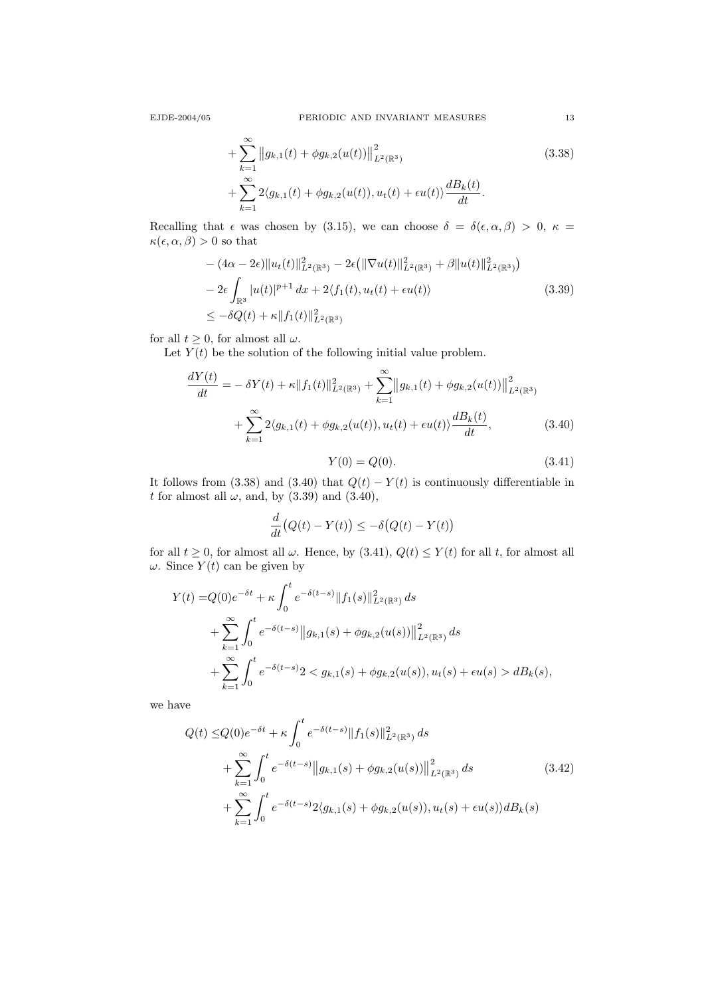$$
+\sum_{k=1}^{\infty} \|g_{k,1}(t) + \phi g_{k,2}(u(t))\|_{L^{2}(\mathbb{R}^{3})}^{2} + \sum_{k=1}^{\infty} 2\langle g_{k,1}(t) + \phi g_{k,2}(u(t)), u_{t}(t) + \epsilon u(t) \rangle \frac{dB_{k}(t)}{dt}.
$$
\n(3.38)

Recalling that  $\epsilon$  was chosen by (3.15), we can choose  $\delta = \delta(\epsilon, \alpha, \beta) > 0$ ,  $\kappa =$  $\kappa(\epsilon, \alpha, \beta) > 0$  so that

$$
- (4\alpha - 2\epsilon) \|u_t(t)\|_{L^2(\mathbb{R}^3)}^2 - 2\epsilon (\|\nabla u(t)\|_{L^2(\mathbb{R}^3)}^2 + \beta \|u(t)\|_{L^2(\mathbb{R}^3)}^2)
$$
  
\n
$$
- 2\epsilon \int_{\mathbb{R}^3} |u(t)|^{p+1} dx + 2\langle f_1(t), u_t(t) + \epsilon u(t) \rangle
$$
  
\n
$$
\leq -\delta Q(t) + \kappa \|f_1(t)\|_{L^2(\mathbb{R}^3)}^2
$$
\n(3.39)

for all  $t \geq 0$ , for almost all  $\omega$ .

Let  $Y(t)$  be the solution of the following initial value problem.

$$
\frac{dY(t)}{dt} = -\delta Y(t) + \kappa \|f_1(t)\|_{L^2(\mathbb{R}^3)}^2 + \sum_{k=1}^{\infty} \|g_{k,1}(t) + \phi g_{k,2}(u(t))\|_{L^2(\mathbb{R}^3)}^2 + \sum_{k=1}^{\infty} 2\langle g_{k,1}(t) + \phi g_{k,2}(u(t)), u_t(t) + \epsilon u(t) \rangle \frac{dB_k(t)}{dt},
$$
\n(3.40)

$$
Y(0) = Q(0). \t\t(3.41)
$$

It follows from (3.38) and (3.40) that  $Q(t) - Y(t)$  is continuously differentiable in t for almost all  $\omega$ , and, by (3.39) and (3.40),

$$
\frac{d}{dt}(Q(t) - Y(t)) \leq -\delta(Q(t) - Y(t))
$$

for all  $t \geq 0$ , for almost all  $\omega$ . Hence, by  $(3.41)$ ,  $Q(t) \leq Y(t)$  for all t, for almost all  $\omega$ . Since  $Y(t)$  can be given by

$$
Y(t) = Q(0)e^{-\delta t} + \kappa \int_0^t e^{-\delta(t-s)} \|f_1(s)\|_{L^2(\mathbb{R}^3)}^2 ds
$$
  
+ 
$$
\sum_{k=1}^{\infty} \int_0^t e^{-\delta(t-s)} \|g_{k,1}(s) + \phi g_{k,2}(u(s))\|_{L^2(\mathbb{R}^3)}^2 ds
$$
  
+ 
$$
\sum_{k=1}^{\infty} \int_0^t e^{-\delta(t-s)} 2 < g_{k,1}(s) + \phi g_{k,2}(u(s)), u_t(s) + \epsilon u(s) > dB_k(s),
$$

we have

$$
Q(t) \leq Q(0)e^{-\delta t} + \kappa \int_0^t e^{-\delta(t-s)} \|f_1(s)\|_{L^2(\mathbb{R}^3)}^2 ds
$$
  
+ 
$$
\sum_{k=1}^\infty \int_0^t e^{-\delta(t-s)} \|g_{k,1}(s) + \phi g_{k,2}(u(s))\|_{L^2(\mathbb{R}^3)}^2 ds
$$
  
+ 
$$
\sum_{k=1}^\infty \int_0^t e^{-\delta(t-s)} 2\langle g_{k,1}(s) + \phi g_{k,2}(u(s)), u_t(s) + \epsilon u(s) \rangle dB_k(s)
$$
(3.42)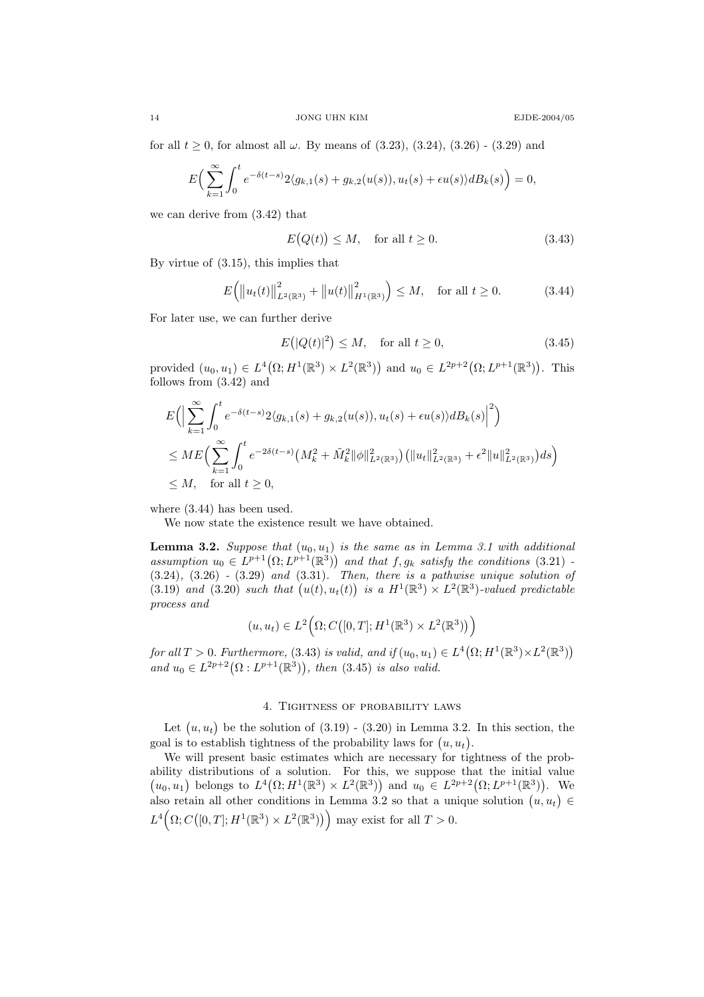for all  $t \ge 0$ , for almost all  $\omega$ . By means of (3.23), (3.24), (3.26) - (3.29) and

$$
E\Big(\sum_{k=1}^{\infty}\int_{0}^{t}e^{-\delta(t-s)}2\langle g_{k,1}(s)+g_{k,2}(u(s)),u_{t}(s)+\epsilon u(s)\rangle dB_{k}(s)\Big)=0,
$$

we can derive from (3.42) that

$$
E(Q(t)) \le M, \quad \text{for all } t \ge 0. \tag{3.43}
$$

By virtue of (3.15), this implies that

$$
E(|u_t(t)||_{L^2(\mathbb{R}^3)}^2 + ||u(t)||_{H^1(\mathbb{R}^3)}^2 \le M, \text{ for all } t \ge 0.
$$
 (3.44)

For later use, we can further derive

$$
E(|Q(t)|^2) \le M, \quad \text{for all } t \ge 0,
$$
\n
$$
(3.45)
$$

provided  $(u_0, u_1) \in L^4(\Omega; H^1(\mathbb{R}^3) \times L^2(\mathbb{R}^3))$  and  $u_0 \in L^{2p+2}(\Omega; L^{p+1}(\mathbb{R}^3))$ . This follows from (3.42) and

$$
E\Big(\Big|\sum_{k=1}^{\infty} \int_{0}^{t} e^{-\delta(t-s)} 2\langle g_{k,1}(s) + g_{k,2}(u(s)), u_{t}(s) + \epsilon u(s)\rangle dB_{k}(s)\Big|^{2}\Big)
$$
  
\n
$$
\leq ME\Big(\sum_{k=1}^{\infty} \int_{0}^{t} e^{-2\delta(t-s)} \big(M_{k}^{2} + \tilde{M}_{k}^{2} \|\phi\|_{L^{2}(\mathbb{R}^{3})}^{2}\big) \big(\|u_{t}\|_{L^{2}(\mathbb{R}^{3})}^{2} + \epsilon^{2} \|u\|_{L^{2}(\mathbb{R}^{3})}^{2}\big) ds\Big)
$$
  
\n
$$
\leq M, \text{ for all } t \geq 0,
$$

where (3.44) has been used.

We now state the existence result we have obtained.

**Lemma 3.2.** Suppose that  $(u_0, u_1)$  is the same as in Lemma 3.1 with additional assumption  $u_0 \in L^{p+1}(\Omega; L^{p+1}(\mathbb{R}^3))$  and that  $f, g_k$  satisfy the conditions (3.21) - $(3.24)$ ,  $(3.26)$  -  $(3.29)$  and  $(3.31)$ . Then, there is a pathwise unique solution of (3.19) and (3.20) such that  $(u(t), u_t(t))$  is a  $H^1(\mathbb{R}^3) \times L^2(\mathbb{R}^3)$ -valued predictable process and

$$
(u, u_t) \in L^2(\Omega; C([0, T]; H^1(\mathbb{R}^3) \times L^2(\mathbb{R}^3)))
$$

for all  $T > 0$ . Furthermore, (3.43) is valid, and if  $(u_0, u_1) \in L^4(\Omega; H^1(\mathbb{R}^3) \times L^2(\mathbb{R}^3))$ and  $u_0 \in L^{2p+2}(\Omega : L^{p+1}(\mathbb{R}^3))$ , then (3.45) is also valid.

### 4. Tightness of probability laws

Let  $(u, u_t)$  be the solution of  $(3.19)$  -  $(3.20)$  in Lemma 3.2. In this section, the goal is to establish tightness of the probability laws for  $(u, u_t)$ .

We will present basic estimates which are necessary for tightness of the probability distributions of a solution. For this, we suppose that the initial value  $(u_0, u_1)$  belongs to  $L^4(\Omega; H^1(\mathbb{R}^3) \times L^2(\mathbb{R}^3))$  and  $u_0 \in L^{2p+2}(\Omega; L^{p+1}(\mathbb{R}^3))$ . We also retain all other conditions in Lemma 3.2 so that a unique solution  $(u, u_t) \in$  $L^4(\Omega; C([0,T]; H^1(\mathbb{R}^3) \times L^2(\mathbb{R}^3)))$  may exist for all  $T > 0$ .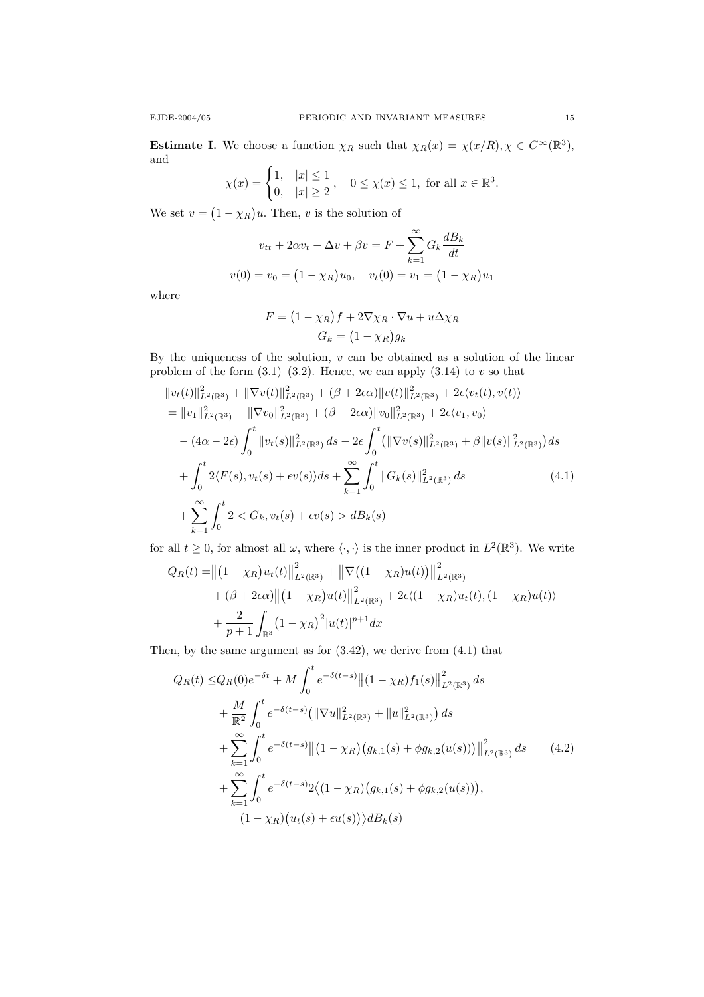$$
\chi(x) = \begin{cases} 1, & |x| \le 1 \\ 0, & |x| \ge 2 \end{cases}, \quad 0 \le \chi(x) \le 1, \text{ for all } x \in \mathbb{R}^3.
$$

We set  $v = (1 - \chi_R)u$ . Then, v is the solution of

$$
v_{tt} + 2\alpha v_t - \Delta v + \beta v = F + \sum_{k=1}^{\infty} G_k \frac{dB_k}{dt}
$$

$$
v(0) = v_0 = (1 - \chi_R)u_0, \quad v_t(0) = v_1 = (1 - \chi_R)u_1
$$

where

$$
F = (1 - \chi_R)f + 2\nabla\chi_R \cdot \nabla u + u\Delta\chi_R
$$

$$
G_k = (1 - \chi_R)g_k
$$

By the uniqueness of the solution,  $v$  can be obtained as a solution of the linear problem of the form  $(3.1)$ – $(3.2)$ . Hence, we can apply  $(3.14)$  to v so that

$$
\|v_t(t)\|_{L^2(\mathbb{R}^3)}^2 + \|\nabla v(t)\|_{L^2(\mathbb{R}^3)}^2 + (\beta + 2\epsilon\alpha) \|v(t)\|_{L^2(\mathbb{R}^3)}^2 + 2\epsilon \langle v_t(t), v(t) \rangle
$$
  
\n
$$
= \|v_1\|_{L^2(\mathbb{R}^3)}^2 + \|\nabla v_0\|_{L^2(\mathbb{R}^3)}^2 + (\beta + 2\epsilon\alpha) \|v_0\|_{L^2(\mathbb{R}^3)}^2 + 2\epsilon \langle v_1, v_0 \rangle
$$
  
\n
$$
- (4\alpha - 2\epsilon) \int_0^t \|v_t(s)\|_{L^2(\mathbb{R}^3)}^2 ds - 2\epsilon \int_0^t \left(\|\nabla v(s)\|_{L^2(\mathbb{R}^3)}^2 + \beta \|v(s)\|_{L^2(\mathbb{R}^3)}^2\right) ds
$$
  
\n
$$
+ \int_0^t 2\langle F(s), v_t(s) + \epsilon v(s) \rangle ds + \sum_{k=1}^\infty \int_0^t \|G_k(s)\|_{L^2(\mathbb{R}^3)}^2 ds \qquad (4.1)
$$
  
\n
$$
+ \sum_{k=1}^\infty \int_0^t 2 \langle G_k, v_t(s) + \epsilon v(s) \rangle dB_k(s)
$$

for all  $t \geq 0$ , for almost all  $\omega$ , where  $\langle \cdot, \cdot \rangle$  is the inner product in  $L^2(\mathbb{R}^3)$ . We write

$$
Q_R(t) = ||(1 - \chi_R)u_t(t)||_{L^2(\mathbb{R}^3)}^2 + ||\nabla((1 - \chi_R)u(t))||_{L^2(\mathbb{R}^3)}^2 + (\beta + 2\epsilon\alpha)||(1 - \chi_R)u(t)||_{L^2(\mathbb{R}^3)}^2 + 2\epsilon\langle (1 - \chi_R)u_t(t), (1 - \chi_R)u(t) \rangle + \frac{2}{p+1} \int_{\mathbb{R}^3} (1 - \chi_R)^2 |u(t)|^{p+1} dx
$$

Then, by the same argument as for (3.42), we derive from (4.1) that

$$
Q_R(t) \leq Q_R(0)e^{-\delta t} + M \int_0^t e^{-\delta(t-s)} \|(1 - \chi_R)f_1(s)\|_{L^2(\mathbb{R}^3)}^2 ds
$$
  
+ 
$$
\frac{M}{\mathbb{R}^2} \int_0^t e^{-\delta(t-s)} (\|\nabla u\|_{L^2(\mathbb{R}^3)}^2 + \|u\|_{L^2(\mathbb{R}^3)}^2) ds
$$
  
+ 
$$
\sum_{k=1}^\infty \int_0^t e^{-\delta(t-s)} \|(1 - \chi_R)(g_{k,1}(s) + \phi g_{k,2}(u(s)))\|_{L^2(\mathbb{R}^3)}^2 ds
$$
(4.2)  
+ 
$$
\sum_{k=1}^\infty \int_0^t e^{-\delta(t-s)} 2 \langle (1 - \chi_R)(g_{k,1}(s) + \phi g_{k,2}(u(s))),
$$
  

$$
(1 - \chi_R)(u_t(s) + \epsilon u(s)) \rangle dB_k(s)
$$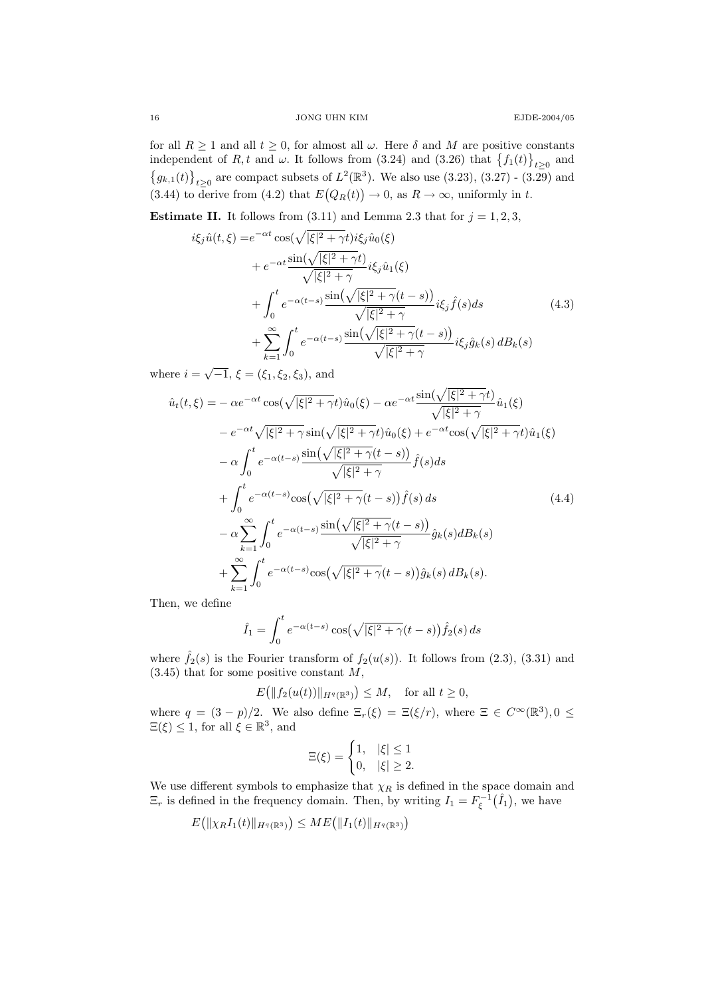for all  $R \ge 1$  and all  $t \ge 0$ , for almost all  $\omega$ . Here  $\delta$  and M are positive constants independent of R, t and  $\omega$ . It follows from (3.24) and (3.26) that  $\{f_1(t)\}_{t\geq 0}$  and  ${g_{k,1}(t)}_{t\geq0}$  are compact subsets of  $L^2(\mathbb{R}^3)$ . We also use (3.23), (3.27) - (3.29) and (3.44) to derive from (4.2) that  $E(Q_R(t)) \to 0$ , as  $R \to \infty$ , uniformly in t.

**Estimate II.** It follows from  $(3.11)$  and Lemma 2.3 that for  $j = 1, 2, 3$ ,

$$
i\xi_j \hat{u}(t,\xi) = e^{-\alpha t} \cos(\sqrt{|\xi|^2 + \gamma t}) i\xi_j \hat{u}_0(\xi)
$$
  
+ 
$$
e^{-\alpha t} \frac{\sin(\sqrt{|\xi|^2 + \gamma t})}{\sqrt{|\xi|^2 + \gamma}} i\xi_j \hat{u}_1(\xi)
$$
  
+ 
$$
\int_0^t e^{-\alpha(t-s)} \frac{\sin(\sqrt{|\xi|^2 + \gamma(t-s)})}{\sqrt{|\xi|^2 + \gamma}} i\xi_j \hat{f}(s) ds
$$
  
+ 
$$
\sum_{k=1}^\infty \int_0^t e^{-\alpha(t-s)} \frac{\sin(\sqrt{|\xi|^2 + \gamma(t-s)})}{\sqrt{|\xi|^2 + \gamma}} i\xi_j \hat{g}_k(s) dB_k(s)
$$

where  $i = \sqrt{-1}$ ,  $\xi = (\xi_1, \xi_2, \xi_3)$ , and

$$
\hat{u}_t(t,\xi) = -\alpha e^{-\alpha t} \cos(\sqrt{|\xi|^2 + \gamma t}) \hat{u}_0(\xi) - \alpha e^{-\alpha t} \frac{\sin(\sqrt{|\xi|^2 + \gamma t})}{\sqrt{|\xi|^2 + \gamma}} \hat{u}_1(\xi)
$$
  
\n
$$
-e^{-\alpha t} \sqrt{|\xi|^2 + \gamma} \sin(\sqrt{|\xi|^2 + \gamma t}) \hat{u}_0(\xi) + e^{-\alpha t} \cos(\sqrt{|\xi|^2 + \gamma t}) \hat{u}_1(\xi)
$$
  
\n
$$
- \alpha \int_0^t e^{-\alpha(t-s)} \frac{\sin(\sqrt{|\xi|^2 + \gamma(t-s)})}{\sqrt{|\xi|^2 + \gamma}} \hat{f}(s) ds
$$
  
\n
$$
+ \int_0^t e^{-\alpha(t-s)} \cos(\sqrt{|\xi|^2 + \gamma(t-s)}) \hat{f}(s) ds
$$
  
\n
$$
- \alpha \sum_{k=1}^\infty \int_0^t e^{-\alpha(t-s)} \frac{\sin(\sqrt{|\xi|^2 + \gamma(t-s)})}{\sqrt{|\xi|^2 + \gamma}} \hat{g}_k(s) dB_k(s)
$$
  
\n
$$
+ \sum_{k=1}^\infty \int_0^t e^{-\alpha(t-s)} \cos(\sqrt{|\xi|^2 + \gamma(t-s)}) \hat{g}_k(s) dB_k(s).
$$
  
\n(4.4)

Then, we define

$$
\hat{I}_1 = \int_0^t e^{-\alpha(t-s)} \cos\left(\sqrt{|\xi|^2 + \gamma(t-s)}\right) \hat{f}_2(s) ds
$$

where  $\hat{f}_2(s)$  is the Fourier transform of  $f_2(u(s))$ . It follows from (2.3), (3.31) and  $(3.45)$  that for some positive constant M,

$$
E\big(\|f_2(u(t))\|_{H^q(\mathbb{R}^3)}\big) \le M, \quad \text{for all } t \ge 0,
$$

where  $q = (3 - p)/2$ . We also define  $\Xi_r(\xi) = \Xi(\xi/r)$ , where  $\Xi \in C^{\infty}(\mathbb{R}^3)$ ,  $0 \leq$  $\Xi(\xi) \leq 1$ , for all  $\xi \in \mathbb{R}^3$ , and

$$
\Xi(\xi) = \begin{cases} 1, & |\xi| \le 1 \\ 0, & |\xi| \ge 2. \end{cases}
$$

We use different symbols to emphasize that  $\chi_R$  is defined in the space domain and  $\Xi_r$  is defined in the frequency domain. Then, by writing  $I_1 = F_{\xi}^{-1}(\hat{I}_1)$ , we have

$$
E(|\chi_R I_1(t)|_{H^q(\mathbb{R}^3)}) \leq ME(|I_1(t)|_{H^q(\mathbb{R}^3)})
$$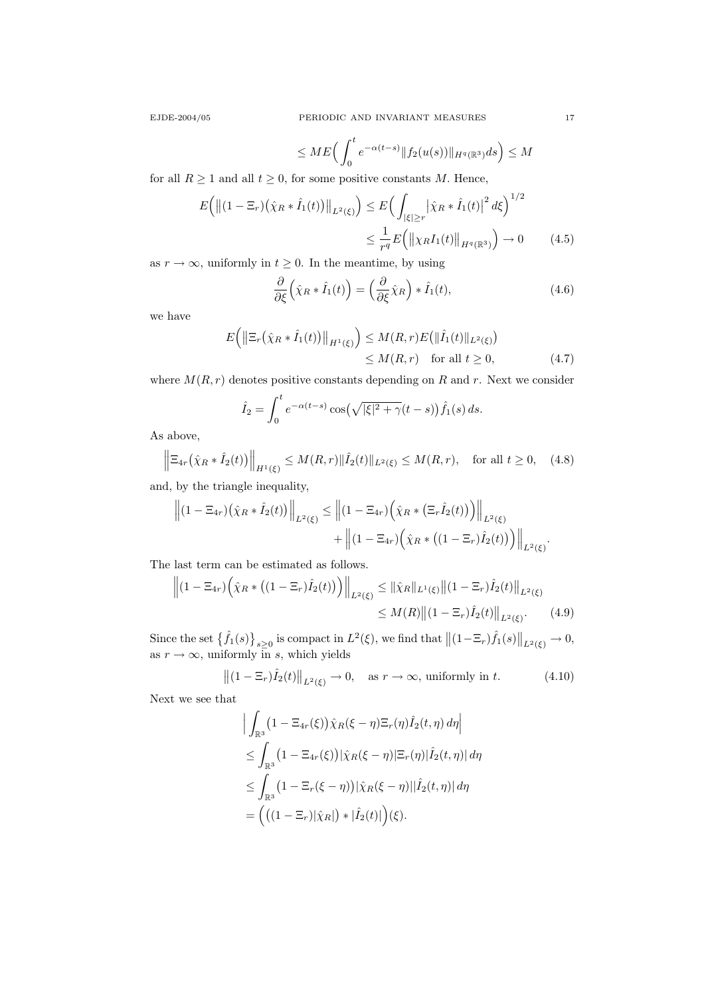$$
\leq ME\Big(\int_0^t e^{-\alpha(t-s)} \|f_2(u(s))\|_{H^q(\mathbb{R}^3)} ds\Big) \leq M
$$

for all  $R \ge 1$  and all  $t \ge 0$ , for some positive constants M. Hence,

$$
E\left(\left\|(1-\Xi_r)(\hat{\chi}_R * \hat{I}_1(t))\right\|_{L^2(\xi)}\right) \le E\left(\int_{|\xi|\ge r} |\hat{\chi}_R * \hat{I}_1(t)|^2 d\xi\right)^{1/2}
$$
  

$$
\le \frac{1}{r^q} E\left(\left\|\chi_R I_1(t)\right\|_{H^q(\mathbb{R}^3)}\right) \to 0 \quad (4.5)
$$

as  $r \to \infty$ , uniformly in  $t \geq 0$ . In the meantime, by using

$$
\frac{\partial}{\partial \xi} \left( \hat{\chi}_R * \hat{I}_1(t) \right) = \left( \frac{\partial}{\partial \xi} \hat{\chi}_R \right) * \hat{I}_1(t), \tag{4.6}
$$

we have

$$
E\left(\left\|\Xi_r\left(\hat{\chi}_R * \hat{I}_1(t)\right)\right\|_{H^1(\xi)}\right) \leq M(R,r)E\left(\|\hat{I}_1(t)\|_{L^2(\xi)}\right)
$$
  

$$
\leq M(R,r) \quad \text{for all } t \geq 0,
$$
 (4.7)

where  $M(R, r)$  denotes positive constants depending on R and r. Next we consider

$$
\hat{I}_2 = \int_0^t e^{-\alpha(t-s)} \cos(\sqrt{|\xi|^2 + \gamma}(t-s)) \hat{f}_1(s) ds.
$$

As above,

$$
\left\| \Xi_{4r}(\hat{\chi}_R * \hat{I}_2(t)) \right\|_{H^1(\xi)} \le M(R,r) \|\hat{I}_2(t)\|_{L^2(\xi)} \le M(R,r), \quad \text{for all } t \ge 0, \quad (4.8)
$$

and, by the triangle inequality,

$$
\left\| (1 - \Xi_{4r}) (\hat{\chi}_R * \hat{I}_2(t)) \right\|_{L^2(\xi)} \leq \left\| (1 - \Xi_{4r}) (\hat{\chi}_R * (\Xi_r \hat{I}_2(t))) \right\|_{L^2(\xi)} + \left\| (1 - \Xi_{4r}) (\hat{\chi}_R * ((1 - \Xi_r) \hat{I}_2(t))) \right\|_{L^2(\xi)}.
$$

The last term can be estimated as follows.

$$
\left\| (1 - \Xi_{4r}) \left( \hat{\chi}_R * \left( (1 - \Xi_r) \hat{I}_2(t) \right) \right) \right\|_{L^2(\xi)} \leq \|\hat{\chi}_R\|_{L^1(\xi)} \|(1 - \Xi_r) \hat{I}_2(t) \|_{L^2(\xi)}
$$
  

$$
\leq M(R) \|(1 - \Xi_r) \hat{I}_2(t) \|_{L^2(\xi)}.
$$
 (4.9)

Since the set  $\{\hat{f}_1(s)\}_{s\geq 0}$  is compact in  $L^2(\xi)$ , we find that  $||(1-\Xi_r)\hat{f}_1(s)||_{L^2(\xi)} \to 0$ , as  $r \to \infty$ , uniformly in s, which yields

$$
\left\| (1 - \Xi_r) \hat{I}_2(t) \right\|_{L^2(\xi)} \to 0, \quad \text{as } r \to \infty, \text{ uniformly in } t. \tag{4.10}
$$

Next we see that

$$
\left| \int_{\mathbb{R}^3} (1 - \Xi_{4r}(\xi)) \hat{\chi}_R(\xi - \eta) \Xi_r(\eta) \hat{I}_2(t, \eta) d\eta \right|
$$
  
\n
$$
\leq \int_{\mathbb{R}^3} (1 - \Xi_{4r}(\xi)) |\hat{\chi}_R(\xi - \eta)| \Xi_r(\eta) |\hat{I}_2(t, \eta)| d\eta
$$
  
\n
$$
\leq \int_{\mathbb{R}^3} (1 - \Xi_r(\xi - \eta)) |\hat{\chi}_R(\xi - \eta)| |\hat{I}_2(t, \eta)| d\eta
$$
  
\n
$$
= \left( \left( (1 - \Xi_r) |\hat{\chi}_R| \right) * |\hat{I}_2(t)| \right) (\xi).
$$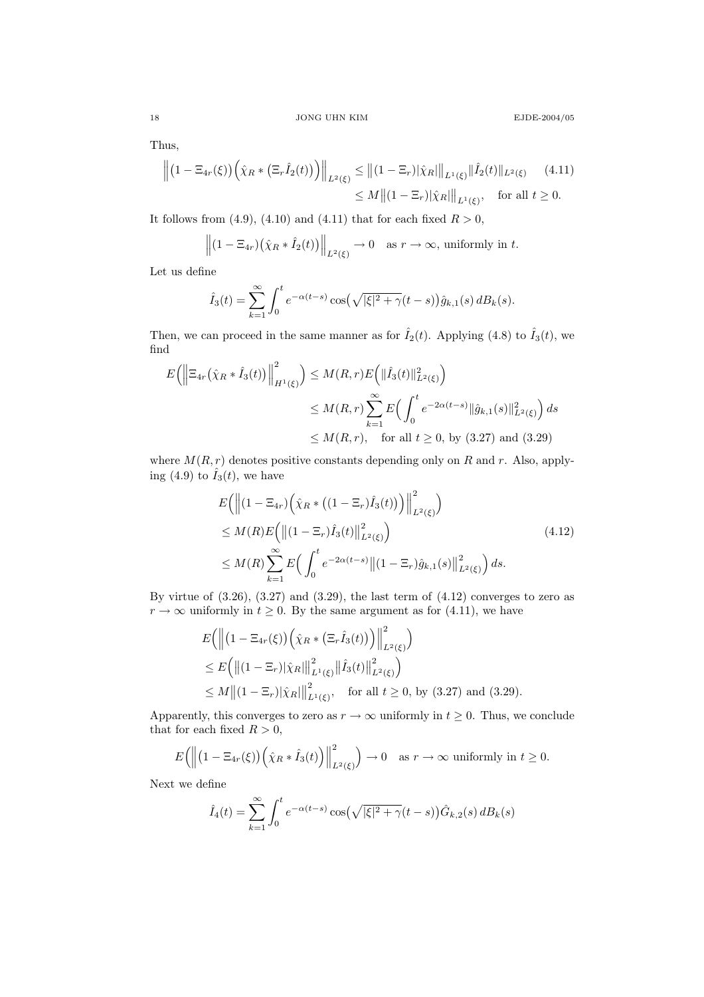Thus,

$$
\left\| \left( 1 - \Xi_{4r}(\xi) \right) \left( \hat{\chi}_R * \left( \Xi_r \hat{I}_2(t) \right) \right) \right\|_{L^2(\xi)} \leq \| (1 - \Xi_r) |\hat{\chi}_R| \|_{L^1(\xi)} \| \hat{I}_2(t) \|_{L^2(\xi)} \qquad (4.11)
$$
  

$$
\leq M \| (1 - \Xi_r) |\hat{\chi}_R| \|_{L^1(\xi)}, \quad \text{for all } t \geq 0.
$$

It follows from (4.9), (4.10) and (4.11) that for each fixed  $R > 0$ ,

$$
\left\| (1 - \Xi_{4r}) (\hat{\chi}_R * \hat{I}_2(t)) \right\|_{L^2(\xi)} \to 0 \quad \text{as } r \to \infty, \text{ uniformly in } t.
$$

Let us define

$$
\hat{I}_3(t) = \sum_{k=1}^{\infty} \int_0^t e^{-\alpha(t-s)} \cos(\sqrt{|\xi|^2 + \gamma}(t-s)) \hat{g}_{k,1}(s) dB_k(s).
$$

Then, we can proceed in the same manner as for  $\hat{I}_2(t)$ . Applying (4.8) to  $\hat{I}_3(t)$ , we find

$$
E\left(\left\|\Xi_{4r}\left(\hat{\chi}_R * \hat{I}_3(t)\right)\right\|_{H^1(\xi)}^2\right) \le M(R,r)E\left(\|\hat{I}_3(t)\|_{L^2(\xi)}^2\right)
$$
  

$$
\le M(R,r)\sum_{k=1}^{\infty} E\left(\int_0^t e^{-2\alpha(t-s)} \|\hat{g}_{k,1}(s)\|_{L^2(\xi)}^2\right) ds
$$
  

$$
\le M(R,r), \text{ for all } t \ge 0, \text{ by (3.27) and (3.29)}
$$

where  $M(R, r)$  denotes positive constants depending only on R and r. Also, applying (4.9) to  $\hat{I}_3(t)$ , we have

$$
E\left(\left\|(1-\Xi_{4r})\left(\hat{\chi}_R * ((1-\Xi_r)\hat{I}_3(t))\right)\right\|_{L^2(\xi)}^2\right) \leq M(R)E\left(\left\|(1-\Xi_r)\hat{I}_3(t)\right\|_{L^2(\xi)}^2\right) \leq M(R)\sum_{k=1}^{\infty} E\left(\int_0^t e^{-2\alpha(t-s)} \left\|(1-\Xi_r)\hat{g}_{k,1}(s)\right\|_{L^2(\xi)}^2\right) ds.
$$
\n(4.12)

By virtue of  $(3.26)$ ,  $(3.27)$  and  $(3.29)$ , the last term of  $(4.12)$  converges to zero as  $r \to \infty$  uniformly in  $t \geq 0$ . By the same argument as for (4.11), we have

$$
E\left(\left\|(1-\Xi_{4r}(\xi))\left(\hat{\chi}_R * (\Xi_r \hat{I}_3(t))\right)\right\|_{L^2(\xi)}^2\right)
$$
  
\n
$$
\leq E\left(\left\|(1-\Xi_r)|\hat{\chi}_R|\right\|_{L^1(\xi)}^2 \left\| \hat{I}_3(t)\right\|_{L^2(\xi)}^2\right)
$$
  
\n
$$
\leq M\left\|(1-\Xi_r)|\hat{\chi}_R|\right\|_{L^1(\xi)}^2, \text{ for all } t \geq 0, \text{ by (3.27) and (3.29)}.
$$

Apparently, this converges to zero as  $r \to \infty$  uniformly in  $t \geq 0$ . Thus, we conclude that for each fixed  $R > 0$ ,

$$
E\Big(\Big\|\big(1-\Xi_{4r}(\xi)\big)\Big(\hat{\chi}_R*\hat{I}_3(t)\Big)\Big\|^2_{L^2(\xi)}\Big) \to 0 \quad \text{as } r \to \infty \text{ uniformly in } t \ge 0.
$$

Next we define

$$
\hat{I}_4(t) = \sum_{k=1}^{\infty} \int_0^t e^{-\alpha(t-s)} \cos(\sqrt{|\xi|^2 + \gamma}(t-s)) \hat{G}_{k,2}(s) dB_k(s)
$$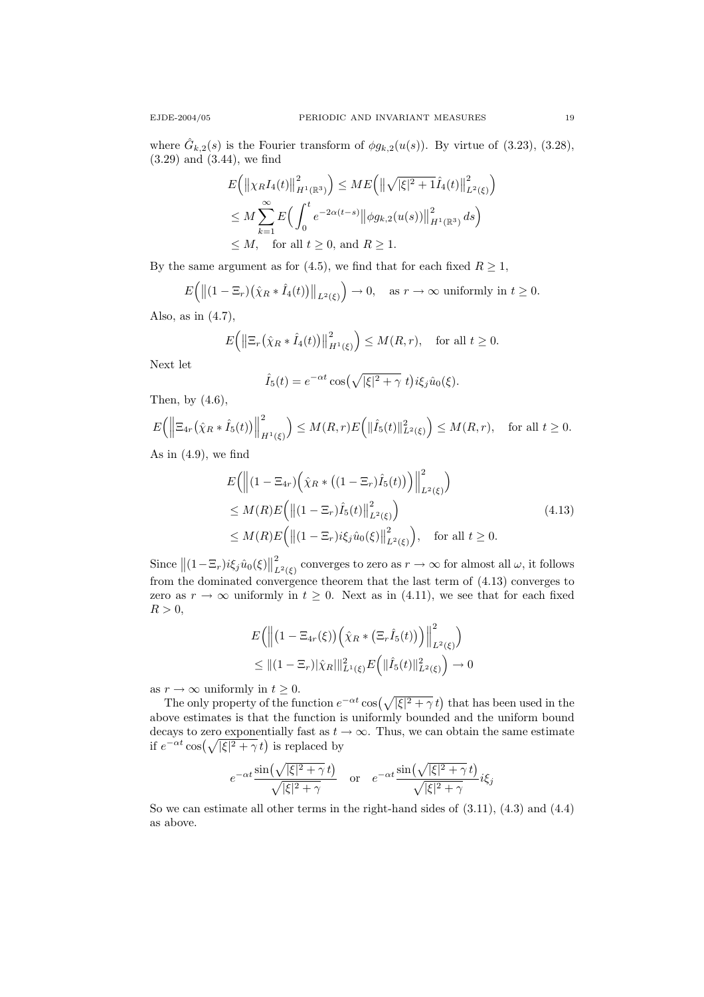where  $\hat{G}_{k,2}(s)$  is the Fourier transform of  $\phi g_{k,2}(u(s))$ . By virtue of (3.23), (3.28), (3.29) and (3.44), we find

$$
E(|\chi_R I_4(t)|_{H^1(\mathbb{R}^3)}^2) \leq ME(|\sqrt{|\xi|^2 + 1}\hat{I}_4(t)|_{L^2(\xi)}^2)
$$
  
\n
$$
\leq M \sum_{k=1}^{\infty} E\Big(\int_0^t e^{-2\alpha(t-s)} ||\phi g_{k,2}(u(s))||_{H^1(\mathbb{R}^3)}^2 ds\Big)
$$
  
\n
$$
\leq M, \text{ for all } t \geq 0, \text{ and } R \geq 1.
$$

By the same argument as for (4.5), we find that for each fixed  $R \geq 1$ ,

$$
E\Big(\big\|\big(1-\Xi_r\big)\big(\hat{\chi}_R\ast\hat{I}_4(t)\big)\big\|_{L^2(\xi)}\Big)\to 0,\quad \text{as }r\to\infty\text{ uniformly in }t\geq 0.
$$

Also, as in (4.7),

$$
E\Big(\big\|\Xi_r(\hat{\chi}_R * \hat{I}_4(t))\big\|_{H^1(\xi)}^2\Big) \le M(R,r), \quad \text{for all } t \ge 0.
$$

Next let

$$
\hat{I}_5(t) = e^{-\alpha t} \cos(\sqrt{|\xi|^2 + \gamma} t) i\xi_j \hat{u}_0(\xi).
$$

Then, by (4.6),

$$
E\Big(\Big\|\Xi_{4r}\big(\hat{\chi}_R\ast\hat{I}_5(t)\big)\Big\|^2_{H^1(\xi)}\Big)\leq M(R,r)E\Big(\|\hat{I}_5(t)\|^2_{L^2(\xi)}\Big)\leq M(R,r),\quad\text{for all }t\geq 0.
$$

As in  $(4.9)$ , we find

$$
E\left(\left\|(1-\Xi_{4r})\left(\hat{\chi}_R*\left((1-\Xi_r)\hat{I}_5(t)\right)\right)\right\|_{L^2(\xi)}^2\right)
$$
  
\n
$$
\leq M(R)E\left(\left\|(1-\Xi_r)\hat{I}_5(t)\right\|_{L^2(\xi)}^2\right)
$$
  
\n
$$
\leq M(R)E\left(\left\|(1-\Xi_r)i\xi_j\hat{u}_0(\xi)\right\|_{L^2(\xi)}^2\right), \text{ for all } t \geq 0.
$$
\n(4.13)

Since  $||(1 - \Xi_r)i\xi_j \hat{u}_0(\xi)||$ 2  $\mathcal{L}^2_{L^2(\xi)}$  converges to zero as  $r \to \infty$  for almost all  $\omega$ , it follows from the dominated convergence theorem that the last term of (4.13) converges to zero as  $r \to \infty$  uniformly in  $t \geq 0$ . Next as in (4.11), we see that for each fixed  $R > 0$ ,

$$
E\left(\left\|\left(1-\Xi_{4r}(\xi)\right)\left(\hat{\chi}_R*\left(\Xi_r\hat{I}_5(t)\right)\right)\right\|_{L^2(\xi)}^2\right)\\ \leq \left\|\left(1-\Xi_r\right)|\hat{\chi}_R\right\|\|_{L^1(\xi)}^2 E\left(\|\hat{I}_5(t)\|_{L^2(\xi)}^2\right) \to 0
$$

as  $r \to \infty$  uniformly in  $t \geq 0$ .

The only property of the function  $e^{-\alpha t}$  cos $(\sqrt{|\xi|^2 + \gamma} t)$  that has been used in the above estimates is that the function is uniformly bounded and the uniform bound decays to zero exponentially fast as  $t \to \infty$ . Thus, we can obtain the same estimate if  $e^{-\alpha t} \cos(\sqrt{|\xi|^2 + \gamma} t)$  is replaced by

$$
e^{-\alpha t}\frac{\sin(\sqrt{|\xi|^2+\gamma}\,t)}{\sqrt{|\xi|^2+\gamma}}\quad\text{or}\quad e^{-\alpha t}\frac{\sin(\sqrt{|\xi|^2+\gamma}\,t)}{\sqrt{|\xi|^2+\gamma}}i\xi_j
$$

So we can estimate all other terms in the right-hand sides of (3.11), (4.3) and (4.4) as above.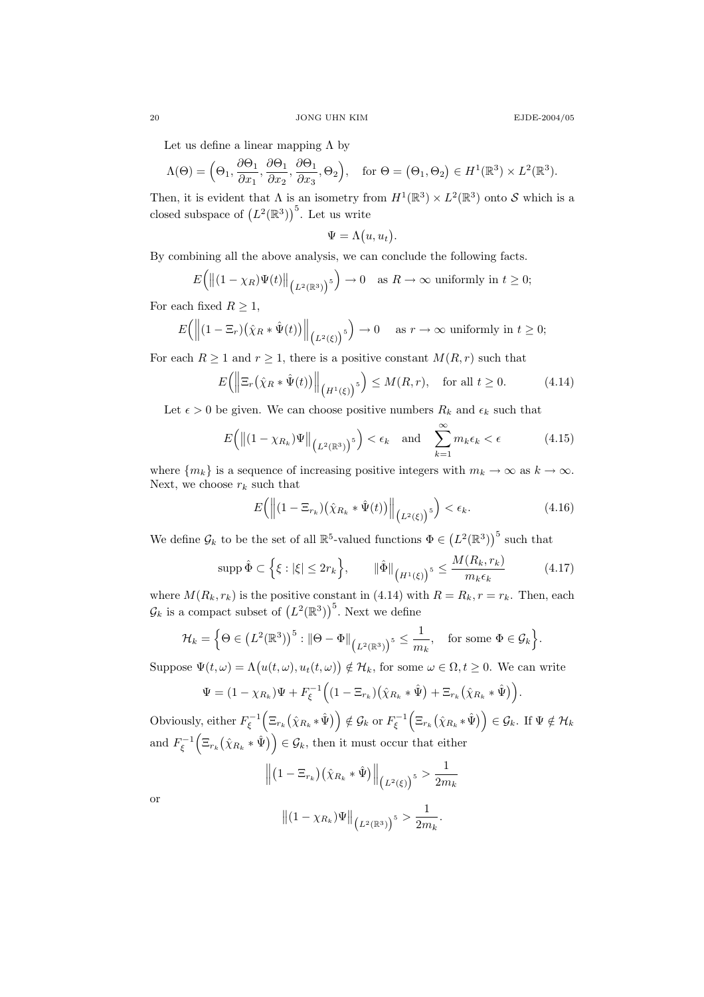.

Let us define a linear mapping  $\Lambda$  by

$$
\Lambda(\Theta) = \left(\Theta_1, \frac{\partial \Theta_1}{\partial x_1}, \frac{\partial \Theta_1}{\partial x_2}, \frac{\partial \Theta_1}{\partial x_3}, \Theta_2\right), \quad \text{for } \Theta = \left(\Theta_1, \Theta_2\right) \in H^1(\mathbb{R}^3) \times L^2(\mathbb{R}^3).
$$

Then, it is evident that  $\Lambda$  is an isometry from  $H^1(\mathbb{R}^3) \times L^2(\mathbb{R}^3)$  onto S which is a closed subspace of  $(L^2(\mathbb{R}^3))$ <sup>5</sup>. Let us write

$$
\Psi = \Lambda(u, u_t).
$$

By combining all the above analysis, we can conclude the following facts.

$$
E\Big(\big\|(1-\chi_R)\Psi(t)\big\|_{\big(L^2(\mathbb{R}^3)\big)^5}\Big) \to 0 \quad \text{as } R \to \infty \text{ uniformly in } t \ge 0;
$$

For each fixed  $R \geq 1$ ,

$$
E\Big(\Big\|(1-\Xi_r)\big(\hat{\chi}_R*\hat{\Psi}(t)\big)\Big\|_{\big(L^2(\xi)\big)^5}\Big) \to 0 \quad \text{ as } r \to \infty \text{ uniformly in } t \ge 0;
$$

For each  $R \ge 1$  and  $r \ge 1$ , there is a positive constant  $M(R, r)$  such that

$$
E\left(\left\|\Xi_r\left(\hat{\chi}_R*\hat{\Psi}(t)\right)\right\|_{\left(H^1(\xi)\right)^5}\right) \le M(R,r), \quad \text{for all } t \ge 0. \tag{4.14}
$$

Let  $\epsilon > 0$  be given. We can choose positive numbers  $R_k$  and  $\epsilon_k$  such that

$$
E\Big(\big\|(1-\chi_{R_k})\Psi\big\|_{\big(L^2(\mathbb{R}^3)\big)^5}\Big)<\epsilon_k \quad \text{and} \quad \sum_{k=1}^{\infty} m_k \epsilon_k <\epsilon \tag{4.15}
$$

where  $\{m_k\}$  is a sequence of increasing positive integers with  $m_k \to \infty$  as  $k \to \infty$ . Next, we choose  $r_k$  such that

$$
E\left(\left\|(1-\Xi_{r_k})\left(\hat{\chi}_{R_k}*\hat{\Psi}(t)\right)\right\|_{\left(L^2(\xi)\right)^5}\right)<\epsilon_k.\tag{4.16}
$$

We define  $\mathcal{G}_k$  to be the set of all  $\mathbb{R}^5$ -valued functions  $\Phi \in (L^2(\mathbb{R}^3))^5$  such that

$$
\operatorname{supp}\hat{\Phi}\subset\left\{\xi:\left|\xi\right|\leq 2r_{k}\right\},\qquad\|\hat{\Phi}\|_{\left(H^{1}(\xi)\right)^{5}}\leq\frac{M(R_{k},r_{k})}{m_{k}\epsilon_{k}}\tag{4.17}
$$

where  $M(R_k, r_k)$  is the positive constant in (4.14) with  $R = R_k, r = r_k$ . Then, each  $\mathcal{G}_k$  is a compact subset of  $(L^2(\mathbb{R}^3))$ <sup>5</sup>. Next we define

$$
\mathcal{H}_k = \Big\{\Theta \in \left(L^2(\mathbb{R}^3)\right)^5 : \|\Theta - \Phi\|_{\left(L^2(\mathbb{R}^3)\right)^5} \leq \frac{1}{m_k}, \quad \text{for some } \Phi \in \mathcal{G}_k\Big\}.
$$

Suppose  $\Psi(t,\omega) = \Lambda(u(t,\omega), u_t(t,\omega)) \notin \mathcal{H}_k$ , for some  $\omega \in \Omega, t \geq 0$ . We can write

$$
\Psi = (1 - \chi_{R_k})\Psi + F_{\xi}^{-1}\Big((1 - \Xi_{r_k})\big(\hat{\chi}_{R_k} * \hat{\Psi}\big) + \Xi_{r_k}\big(\hat{\chi}_{R_k} * \hat{\Psi}\big)\Big)
$$

Obviously, either  $F_{\xi}^{-1} \Big( \Xi_{r_k} \big( \hat{\chi}_{R_k} * \hat{\Psi} \big) \Big) \notin \mathcal{G}_k$  or  $F_{\xi}^{-1} \Big( \Xi_{r_k} \big( \hat{\chi}_{R_k} * \hat{\Psi} \big) \Big) \in \mathcal{G}_k$ . If  $\Psi \notin \mathcal{H}_k$ and  $F_{\xi}^{-1} \Big( \Xi_{r_k} (\hat{\chi}_{R_k} * \hat{\Psi}) \Big) \in \mathcal{G}_k$ , then it must occur that either

$$
\left\| (1 - \Xi_{r_k}) (\hat{\chi}_{R_k} * \hat{\Psi}) \right\|_{\left(L^2(\xi)\right)^5} > \frac{1}{2m_k}
$$

$$
\left\| (1 - \chi_{R_k}) \Psi \right\|_{\left(L^2(\mathbb{R}^3)\right)^5} > \frac{1}{2m}.
$$

or

$$
\left\| (1 - \chi_{R_k}) \Psi \right\|_{\left(L^2(\mathbb{R}^3)\right)^5} > \frac{1}{2m_k}.
$$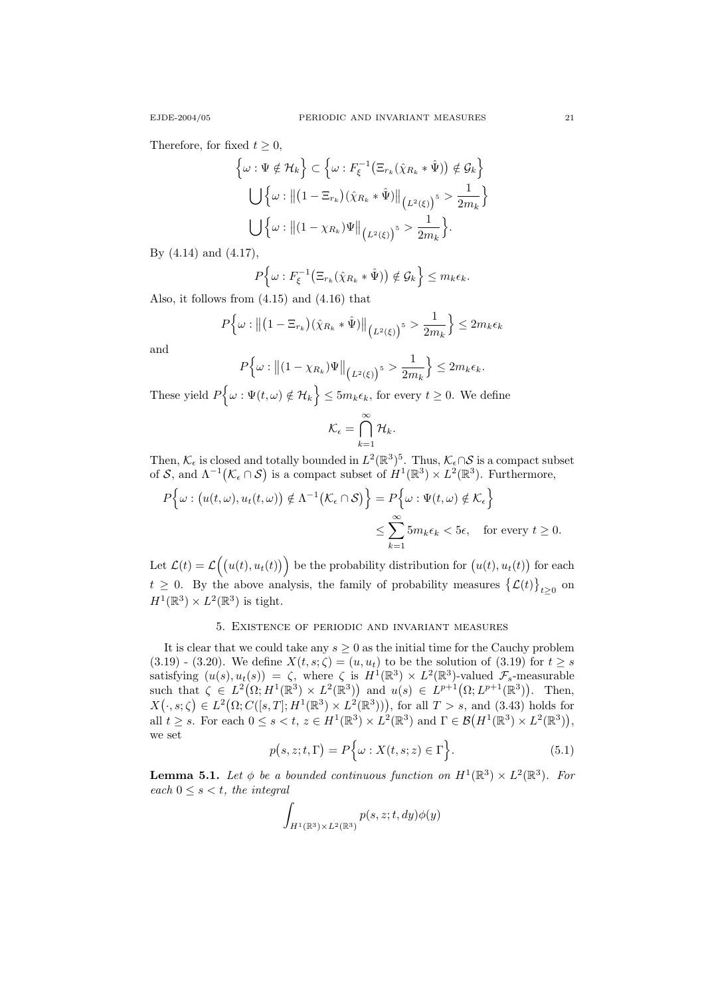Therefore, for fixed  $t \geq 0$ ,

$$
\left\{\omega : \Psi \notin \mathcal{H}_k\right\} \subset \left\{\omega : F_{\xi}^{-1}\left(\Xi_{r_k}(\hat{\chi}_{R_k} * \hat{\Psi})\right) \notin \mathcal{G}_k\right\}
$$

$$
\bigcup \left\{\omega : \left\|\left(1 - \Xi_{r_k}\right)(\hat{\chi}_{R_k} * \hat{\Psi})\right\|_{\left(L^2(\xi)\right)^5} > \frac{1}{2m_k}\right\}
$$

$$
\bigcup \left\{\omega : \left\|\left(1 - \chi_{R_k}\right)\Psi\right\|_{\left(L^2(\xi)\right)^5} > \frac{1}{2m_k}\right\}.
$$

By (4.14) and (4.17),

$$
P\Big\{\omega: F_{\xi}^{-1}\big(\Xi_{r_k}(\hat{\chi}_{R_k}*\hat{\Psi})\big) \notin \mathcal{G}_k\Big\} \leq m_k \epsilon_k.
$$

Also, it follows from (4.15) and (4.16) that

$$
P\Big\{\omega: \left\|\left(1-\Xi_{r_k}\right)\left(\hat{\chi}_{R_k}*\hat{\Psi}\right)\right\|_{\left(L^2(\xi)\right)^5} > \frac{1}{2m_k}\Big\} \leq 2m_k\epsilon_k
$$

and

$$
P\Big\{\omega: \big\|(1-\chi_{R_k})\Psi\big\|_{\big(L^2(\xi)\big)^5} > \frac{1}{2m_k}\Big\} \leq 2m_k\epsilon_k.
$$

These yield  $P\{\omega: \Psi(t,\omega) \notin \mathcal{H}_k\} \leq 5m_k \epsilon_k$ , for every  $t \geq 0$ . We define

$$
\mathcal{K}_{\epsilon} = \bigcap_{k=1}^{\infty} \mathcal{H}_k.
$$

Then,  $\mathcal{K}_{\epsilon}$  is closed and totally bounded in  $L^2(\mathbb{R}^3)^5$ . Thus,  $\mathcal{K}_{\epsilon} \cap \mathcal{S}$  is a compact subset of S, and  $\Lambda^{-1}(\mathcal{K}_{\epsilon} \cap S)$  is a compact subset of  $H^1(\mathbb{R}^3) \times L^2(\mathbb{R}^3)$ . Furthermore,

$$
P\{\omega : (u(t,\omega), u_t(t,\omega)) \notin \Lambda^{-1}(\mathcal{K}_{\epsilon} \cap \mathcal{S})\} = P\{\omega : \Psi(t,\omega) \notin \mathcal{K}_{\epsilon}\}\
$$
  

$$
\leq \sum_{k=1}^{\infty} 5m_k \epsilon_k < 5\epsilon, \text{ for every } t \geq 0.
$$

Let  $\mathcal{L}(t) = \mathcal{L}((u(t), u_t(t)))$  be the probability distribution for  $(u(t), u_t(t))$  for each  $t \geq 0$ . By the above analysis, the family of probability measures  $\{\mathcal{L}(t)\}_{t \geq 0}$  on  $H^1(\mathbb{R}^3) \times L^2(\mathbb{R}^3)$  is tight.

### 5. Existence of periodic and invariant measures

It is clear that we could take any  $s \geq 0$  as the initial time for the Cauchy problem  $(3.19)$  -  $(3.20)$ . We define  $X(t, s; \zeta) = (u, u_t)$  to be the solution of  $(3.19)$  for  $t \geq s$ satisfying  $(u(s), u_t(s)) = \zeta$ , where  $\zeta$  is  $H^1(\mathbb{R}^3) \times L^2(\mathbb{R}^3)$ -valued  $\mathcal{F}_s$ -measurable such that  $\zeta \in L^2(\Omega; H^1(\mathbb{R}^3) \times L^2(\mathbb{R}^3))$  and  $u(s) \in L^{p+1}(\Omega; L^{p+1}(\mathbb{R}^3))$ . Then,  $X(\cdot,s;\zeta) \in L^2(\Omega;C([s,T];H^1(\mathbb{R}^3)\times L^2(\mathbb{R}^3))),$  for all  $T>s$ , and (3.43) holds for all  $t \geq s$ . For each  $0 \leq s < t$ ,  $z \in H^1(\mathbb{R}^3) \times L^2(\mathbb{R}^3)$  and  $\Gamma \in \mathcal{B}(H^1(\mathbb{R}^3) \times L^2(\mathbb{R}^3)),$ we set

$$
p(s, z; t, \Gamma) = P\Big\{\omega : X(t, s; z) \in \Gamma\Big\}.
$$
 (5.1)

**Lemma 5.1.** Let  $\phi$  be a bounded continuous function on  $H^1(\mathbb{R}^3) \times L^2(\mathbb{R}^3)$ . For each  $0 \leq s < t$ , the integral

$$
\int_{H^1(\mathbb{R}^3)\times L^2(\mathbb{R}^3)} p(s, z; t, dy)\phi(y)
$$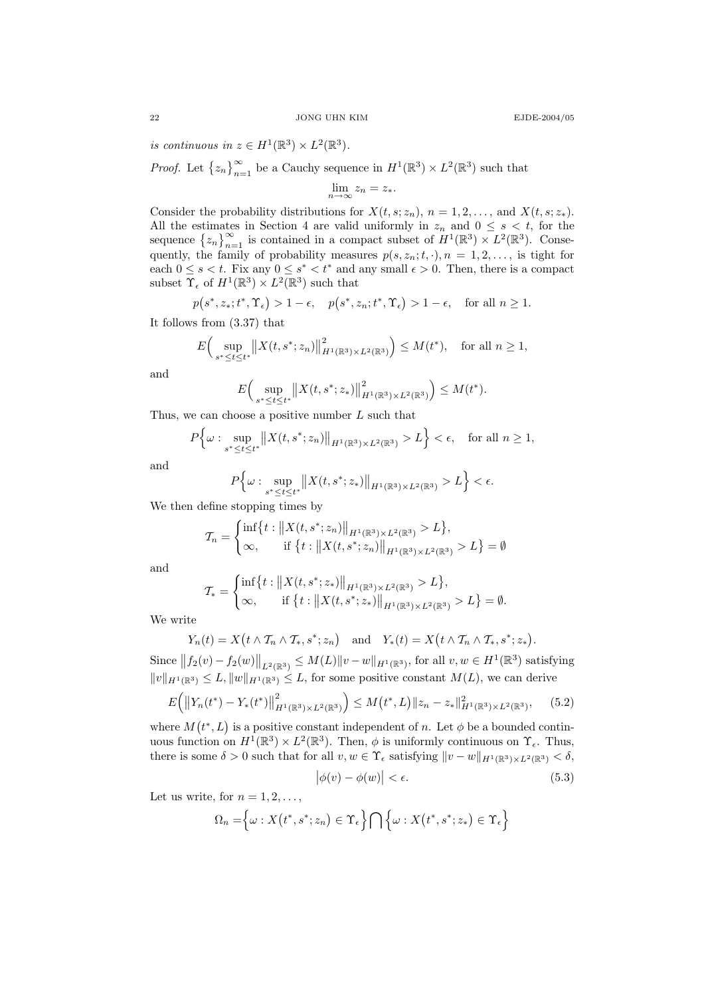is continuous in  $z \in H^1(\mathbb{R}^3) \times L^2(\mathbb{R}^3)$ .

*Proof.* Let  $\{z_n\}_{n=1}^{\infty}$  be a Cauchy sequence in  $H^1(\mathbb{R}^3) \times L^2(\mathbb{R}^3)$  such that

$$
\lim_{n \to \infty} z_n = z_*.
$$

Consider the probability distributions for  $X(t, s; z_n)$ ,  $n = 1, 2, \ldots$ , and  $X(t, s; z_*)$ . All the estimates in Section 4 are valid uniformly in  $z_n$  and  $0 \leq s \leq t$ , for the sequence  $\{z_n\}_{n=1}^{\infty}$  is contained in a compact subset of  $H^1(\mathbb{R}^3) \times L^2(\mathbb{R}^3)$ . Consequently, the family of probability measures  $p(s, z_n; t, \cdot), n = 1, 2, \ldots$ , is tight for each  $0 \leq s < t$ . Fix any  $0 \leq s^* < t^*$  and any small  $\epsilon > 0$ . Then, there is a compact subset  $\Upsilon_{\epsilon}$  of  $H^1(\mathbb{R}^3) \times L^2(\mathbb{R}^3)$  such that

$$
p(s^*, z_*, t^*, \Upsilon_{\epsilon}) > 1 - \epsilon
$$
,  $p(s^*, z_n; t^*, \Upsilon_{\epsilon}) > 1 - \epsilon$ , for all  $n \ge 1$ .

It follows from (3.37) that

$$
E\Big(\sup_{s^* \le t \le t^*} \|X(t, s^*; z_n)\|_{H^1(\mathbb{R}^3) \times L^2(\mathbb{R}^3)}^2\Big) \le M(t^*), \quad \text{for all } n \ge 1,
$$

and

$$
E\Big(\sup_{s^* \le t \le t^*} \|X(t, s^*; z_*)\|_{H^1(\mathbb{R}^3) \times L^2(\mathbb{R}^3)}^2\Big) \le M(t^*).
$$

Thus, we can choose a positive number  $L$  such that

$$
P\Big\{\omega: \sup_{s^* \le t \le t^*} \left\|X(t, s^*; z_n)\right\|_{H^1(\mathbb{R}^3) \times L^2(\mathbb{R}^3)} > L\Big\} < \epsilon, \quad \text{for all } n \ge 1,
$$

and

$$
P\Big\{\omega : \sup_{s^* \le t \le t^*} \|X(t, s^*; z_*)\|_{H^1(\mathbb{R}^3) \times L^2(\mathbb{R}^3)} > L\Big\} < \epsilon.
$$

We then define stopping times by

$$
\mathcal{T}_n = \begin{cases} \inf \{ t : ||X(t, s^*; z_n)||_{H^1(\mathbb{R}^3) \times L^2(\mathbb{R}^3)} > L \}, \\ \infty, \quad \text{if } \{ t : ||X(t, s^*; z_n)||_{H^1(\mathbb{R}^3) \times L^2(\mathbb{R}^3)} > L \} = \emptyset \end{cases}
$$

and

$$
\mathcal{T}_{*} = \begin{cases} \inf \{ t : ||X(t, s^{*}; z_{*})||_{H^{1}(\mathbb{R}^{3}) \times L^{2}(\mathbb{R}^{3})} > L \}, \\ \infty, \quad \text{if } \{ t : ||X(t, s^{*}; z_{*})||_{H^{1}(\mathbb{R}^{3}) \times L^{2}(\mathbb{R}^{3})} > L \} = \emptyset. \end{cases}
$$

We write

$$
Y_n(t) = X(t \wedge \mathcal{T}_n \wedge \mathcal{T}_*, s^*; z_n)
$$
 and  $Y_*(t) = X(t \wedge \mathcal{T}_n \wedge \mathcal{T}_*, s^*; z_*).$ 

Since  $||f_2(v) - f_2(w)||_{L^2(\mathbb{R}^3)} \leq M(L)||v - w||_{H^1(\mathbb{R}^3)}$ , for all  $v, w \in H^1(\mathbb{R}^3)$  satisfying  $||v||_{H^1(\mathbb{R}^3)} \leq L, ||w||_{H^1(\mathbb{R}^3)} \leq L$ , for some positive constant  $M(L)$ , we can derive

$$
E(|Y_n(t^*) - Y_*(t^*)||^2_{H^1(\mathbb{R}^3) \times L^2(\mathbb{R}^3)} \Big) \le M(t^*, L) \|z_n - z_*\|_{H^1(\mathbb{R}^3) \times L^2(\mathbb{R}^3)}, \quad (5.2)
$$

where  $M(t^*, L)$  is a positive constant independent of n. Let  $\phi$  be a bounded continuous function on  $H^1(\mathbb{R}^3) \times L^2(\mathbb{R}^3)$ . Then,  $\phi$  is uniformly continuous on  $\Upsilon_{\epsilon}$ . Thus, there is some  $\delta > 0$  such that for all  $v, w \in \Upsilon_{\epsilon}$  satisfying  $||v - w||_{H^1(\mathbb{R}^3) \times L^2(\mathbb{R}^3)} < \delta$ ,

$$
\left|\phi(v) - \phi(w)\right| < \epsilon. \tag{5.3}
$$

Let us write, for  $n = 1, 2, \ldots$ ,

$$
\Omega_n = \Big\{\omega : X(t^*, s^*; z_n) \in \Upsilon_{\epsilon} \Big\} \bigcap \Big\{\omega : X(t^*, s^*; z_*) \in \Upsilon_{\epsilon} \Big\}
$$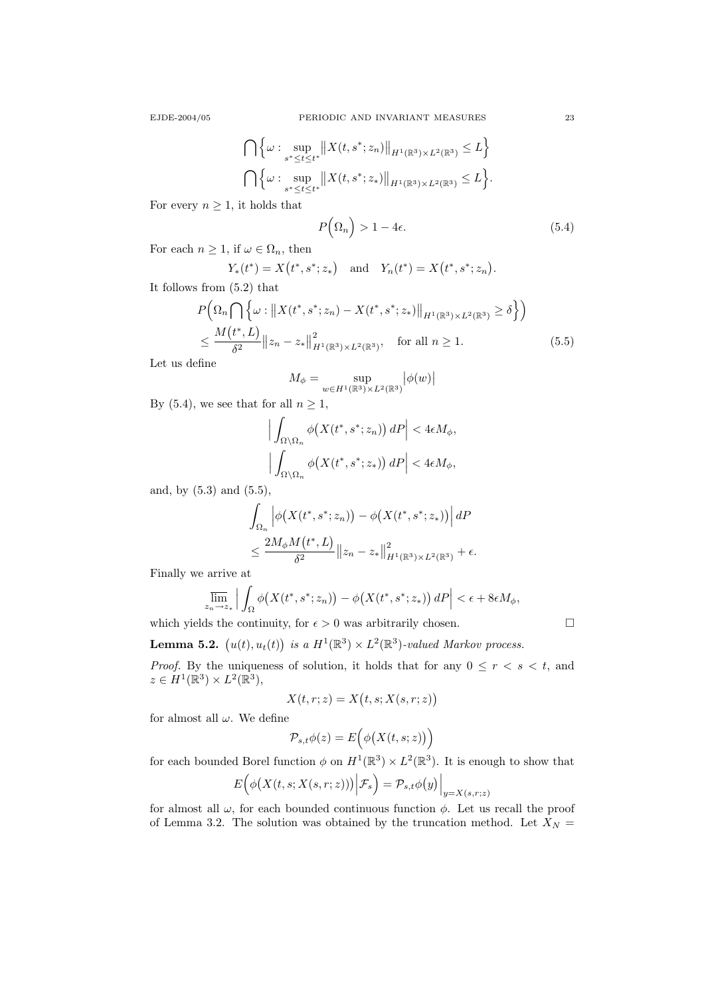$$
\bigcap \Big\{\omega : \sup_{s^* \le t \le t^*} \|X(t, s^*; z_n)\|_{H^1(\mathbb{R}^3) \times L^2(\mathbb{R}^3)} \le L \Big\}
$$
  

$$
\bigcap \Big\{\omega : \sup_{s^* \le t \le t^*} \|X(t, s^*; z_*)\|_{H^1(\mathbb{R}^3) \times L^2(\mathbb{R}^3)} \le L \Big\}.
$$

For every  $n \geq 1$ , it holds that

$$
P(\Omega_n) > 1 - 4\epsilon. \tag{5.4}
$$

For each  $n \geq 1$ , if  $\omega \in \Omega_n$ , then

$$
Y_*(t^*) = X(t^*, s^*; z_*)
$$
 and  $Y_n(t^*) = X(t^*, s^*; z_n)$ .

It follows from (5.2) that

$$
P\left(\Omega_n \cap \left\{\omega : \|X(t^*, s^*; z_n) - X(t^*, s^*; z_*)\|_{H^1(\mathbb{R}^3) \times L^2(\mathbb{R}^3)} \ge \delta\right\}\right)
$$
  
\$\leq \frac{M(t^\*, L)}{\delta^2} \|z\_n - z\_\*\|\_{H^1(\mathbb{R}^3) \times L^2(\mathbb{R}^3)}^2, for all  $n \ge 1$ . (5.5)

Let us define

$$
M_{\phi} = \sup_{w \in H^1(\mathbb{R}^3) \times L^2(\mathbb{R}^3)} \left| \phi(w) \right|
$$

By (5.4), we see that for all  $n \geq 1$ ,

$$
\left| \int_{\Omega \setminus \Omega_n} \phi\big(X(t^*, s^*; z_n)\big) dP \right| < 4\epsilon M_\phi,
$$
  

$$
\left| \int_{\Omega \setminus \Omega_n} \phi\big(X(t^*, s^*; z_*)\big) dP \right| < 4\epsilon M_\phi,
$$

and, by (5.3) and (5.5),

$$
\int_{\Omega_n} \left| \phi\big(X(t^*, s^*; z_n)\big) - \phi\big(X(t^*, s^*; z_*)\big) \right| dP
$$
  

$$
\leq \frac{2M_{\phi}M(t^*, L)}{\delta^2} \|z_n - z_*\|_{H^1(\mathbb{R}^3) \times L^2(\mathbb{R}^3)}^2 + \epsilon.
$$

Finally we arrive at

$$
\overline{\lim}_{z_n \to z_*} \left| \int_{\Omega} \phi\big(X(t^*, s^*; z_n)\big) - \phi\big(X(t^*, s^*; z_*)\big) dP \right| < \epsilon + 8\epsilon M_{\phi},
$$

which yields the continuity, for  $\epsilon > 0$  was arbitrarily chosen.

**Lemma 5.2.**  $(u(t), u_t(t))$  is a  $H^1(\mathbb{R}^3) \times L^2(\mathbb{R}^3)$ -valued Markov process.

*Proof.* By the uniqueness of solution, it holds that for any  $0 \leq r \leq s \leq t$ , and  $z \in H^1(\mathbb{R}^3) \times L^2(\mathbb{R}^3),$ 

$$
X(t, r; z) = X(t, s; X(s, r; z))
$$

for almost all  $\omega$ . We define

$$
\mathcal{P}_{s,t}\phi(z) = E\Big(\phi\big(X(t,s;z)\big)\Big)
$$

for each bounded Borel function  $\phi$  on  $H^1(\mathbb{R}^3) \times L^2(\mathbb{R}^3)$ . It is enough to show that

$$
E\Big(\phi\big(X(t,s;X(s,r;z))\big)\Big|\mathcal{F}_s\Big)=\mathcal{P}_{s,t}\phi\big(y\big)\Big|_{y=X(s,r;z)}
$$

for almost all  $\omega$ , for each bounded continuous function  $\phi$ . Let us recall the proof of Lemma 3.2. The solution was obtained by the truncation method. Let  $X_N =$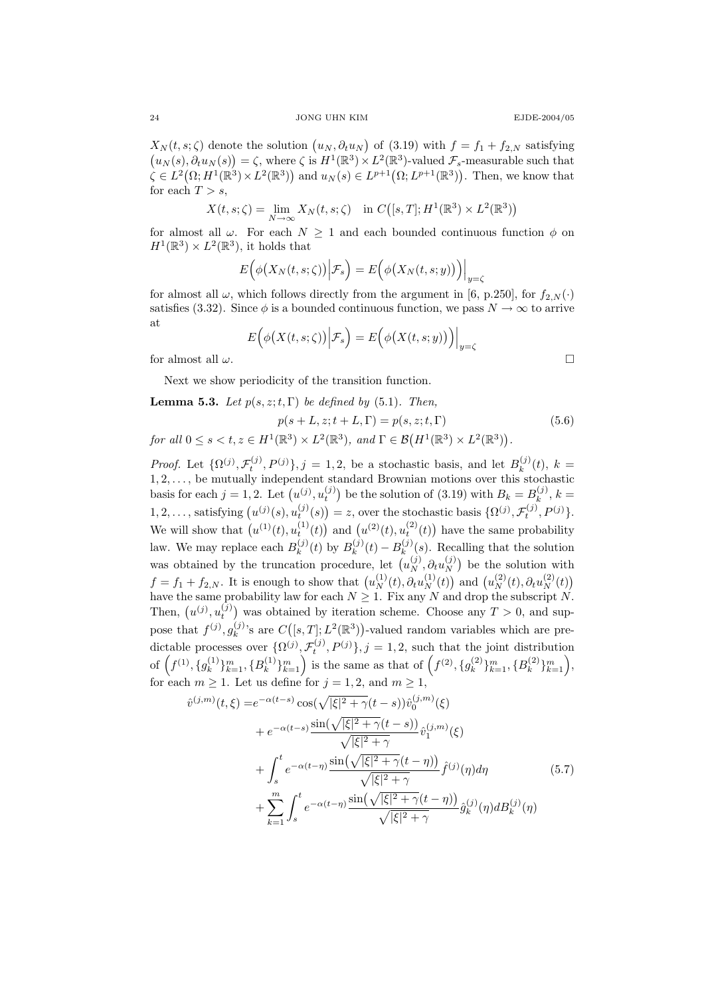$X_N(t,s;\zeta)$  denote the solution  $(u_N,\partial_t u_N)$  of (3.19) with  $f = f_1 + f_{2,N}$  satisfying  $(u_N(s), \partial_t u_N(s)) = \zeta$ , where  $\zeta$  is  $H^1(\mathbb{R}^3) \times L^2(\mathbb{R}^3)$ -valued  $\mathcal{F}_s$ -measurable such that  $\zeta \in L^2(\Omega; H^1(\mathbb{R}^3) \times L^2(\mathbb{R}^3))$  and  $u_N(s) \in L^{p+1}(\Omega; L^{p+1}(\mathbb{R}^3))$ . Then, we know that for each  $T > s$ ,

$$
X(t, s; \zeta) = \lim_{N \to \infty} X_N(t, s; \zeta) \quad \text{in } C([s, T]; H^1(\mathbb{R}^3) \times L^2(\mathbb{R}^3))
$$

for almost all  $\omega$ . For each  $N \geq 1$  and each bounded continuous function  $\phi$  on  $H^1(\mathbb{R}^3) \times L^2(\mathbb{R}^3)$ , it holds that

$$
E\Big(\phi\big(X_N(t,s;\zeta)\big)\Big|\mathcal{F}_s\Big) = E\Big(\phi\big(X_N(t,s;y)\big)\Big)\Big|_{y=\zeta}
$$

for almost all  $\omega$ , which follows directly from the argument in [6, p.250], for  $f_{2,N}(\cdot)$ satisfies (3.32). Since  $\phi$  is a bounded continuous function, we pass  $N \to \infty$  to arrive at

$$
E\Big(\phi\big(X(t,s;\zeta)\big)\Big|\mathcal{F}_s\Big) = E\Big(\phi\big(X(t,s;y)\big)\Big)\Big|_{y=\zeta}
$$
 for almost all  $\omega$ .

Next we show periodicity of the transition function.

**Lemma 5.3.** Let  $p(s, z; t, \Gamma)$  be defined by (5.1). Then,

$$
p(s+L, z; t+L, \Gamma) = p(s, z; t, \Gamma)
$$
\n
$$
\text{for all } 0 \le s < t, z \in H^1(\mathbb{R}^3) \times L^2(\mathbb{R}^3), \text{ and } \Gamma \in \mathcal{B}(H^1(\mathbb{R}^3) \times L^2(\mathbb{R}^3)).\tag{5.6}
$$

*Proof.* Let  $\{\Omega^{(j)}, \mathcal{F}_t^{(j)}, P^{(j)}\}, j = 1, 2$ , be a stochastic basis, and let  $B_k^{(j)}$  $k^{(J)}(t)$ ,  $k =$  $1, 2, \ldots$ , be mutually independent standard Brownian motions over this stochastic basis for each  $j = 1, 2$ . Let  $(u^{(j)}, u_t^{(j)})$  be the solution of (3.19) with  $B_k = B_k^{(j)}$ ,  $k =$ k 1, 2, ..., satisfying  $(u^{(j)}(s), u_t^{(j)}(s)) = z$ , over the stochastic basis  $\{\Omega^{(j)}, \mathcal{F}_t^{(j)}, P^{(j)}\}.$ We will show that  $(u^{(1)}(t), u_t^{(1)}(t))$  and  $(u^{(2)}(t), u_t^{(2)}(t))$  have the same probability law. We may replace each  $B_k^{(j)}$  $B_k^{(j)}(t)$  by  $B_k^{(j)}$  $\binom{(j)}{k}(t)-B_{k}^{(j)}$  $\binom{U}{k}(s)$ . Recalling that the solution was obtained by the truncation procedure, let  $(u_N^{(j)}, \partial_t u_N^{(j)})$  $\binom{J}{N}$  be the solution with  $f = f_1 + f_{2,N}$ . It is enough to show that  $(u_N^{(1)}(t), \partial_t u_N^{(1)}(t))$  and  $(u_N^{(2)}(t), \partial_t u_N^{(2)}(t))$ have the same probability law for each  $N \geq 1$ . Fix any N and drop the subscript N. Then,  $(u^{(j)}, u_t^{(j)})$  was obtained by iteration scheme. Choose any  $T > 0$ , and suppose that  $f^{(j)}, g^{(j)}_k$  $k_k^{(j)}$ 's are  $C([s,T]; L^2(\mathbb{R}^3))$ -valued random variables which are predictable processes over  $\{\Omega^{(j)}, \mathcal{F}_t^{(j)}, P^{(j)}\}, j = 1, 2$ , such that the joint distribution of  $(f^{(1)}, \{g_k^{(1)}\})$  $\{a_k^{(1)}\}_{k=1}^m, \{B_k^{(1)}\}$  ${k \choose k}$  $\binom{n}{k-1}$  is the same as that of  $(f^{(2)}, \{g_k^{(2)}\})$  $\{ k^{(2)} \}_{k=1}^{m}, \{ B^{(2)}_k$  ${k \choose k}$  $\}$  $m \choose k=1$ , for each  $m \geq 1$ . Let us define for  $j = 1, 2$ , and  $m \geq 1$ ,

$$
\hat{v}^{(j,m)}(t,\xi) = e^{-\alpha(t-s)} \cos(\sqrt{|\xi|^2 + \gamma}(t-s)) \hat{v}_0^{(j,m)}(\xi) \n+ e^{-\alpha(t-s)} \frac{\sin(\sqrt{|\xi|^2 + \gamma}(t-s))}{\sqrt{|\xi|^2 + \gamma}} \hat{v}_1^{(j,m)}(\xi) \n+ \int_s^t e^{-\alpha(t-\eta)} \frac{\sin(\sqrt{|\xi|^2 + \gamma}(t-\eta))}{\sqrt{|\xi|^2 + \gamma}} \hat{f}^{(j)}(\eta) d\eta \n+ \sum_{k=1}^m \int_s^t e^{-\alpha(t-\eta)} \frac{\sin(\sqrt{|\xi|^2 + \gamma}(t-\eta))}{\sqrt{|\xi|^2 + \gamma}} \hat{g}_k^{(j)}(\eta) dB_k^{(j)}(\eta)
$$
\n(5.7)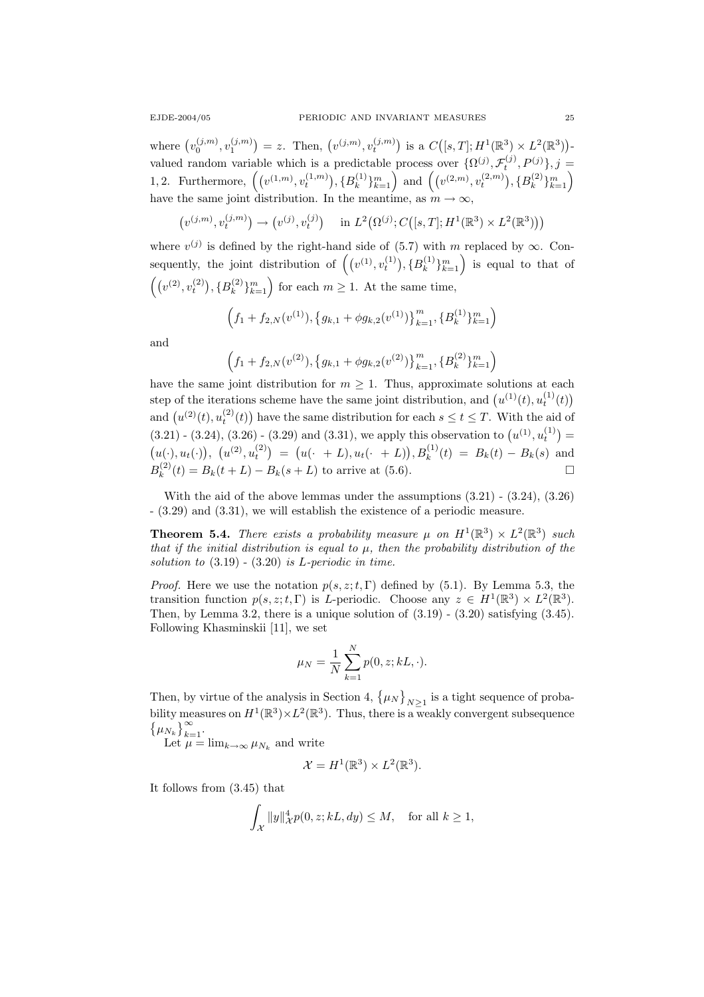where  $(v_0^{(j,m)}, v_1^{(j,m)}) = z$ . Then,  $(v^{(j,m)}, v_t^{(j,m)})$  is a  $C([s,T]; H^1(\mathbb{R}^3) \times L^2(\mathbb{R}^3))$ valued random variable which is a predictable process over  $\{\Omega^{(j)}, \mathcal{F}_t^{(j)}, P^{(j)}\}, j =$ 1, 2. Furthermore,  $((v^{(1,m)}, v_t^{(1,m)}), \{B_k^{(1)}\})$  ${k \choose k}$ <sub>k<sup>2</sup></sup>l<sub>k</sub><sup>2</sup> and  $((v^{(2,m)}, v_t^{(2,m)}), \{B_k^{(2)}\})$ </sub>  $\binom{2}{k}\}_{k=1}^m$ have the same joint distribution. In the meantime, as  $m \to \infty$ ,

$$
(v^{(j,m)}, v_t^{(j,m)}) \to (v^{(j)}, v_t^{(j)})
$$
 in  $L^2(\Omega^{(j)}; C([s,T]; H^1(\mathbb{R}^3) \times L^2(\mathbb{R}^3)))$ 

where  $v^{(j)}$  is defined by the right-hand side of (5.7) with m replaced by  $\infty$ . Consequently, the joint distribution of  $((v^{(1)}, v_t^{(1)}), {B_k^{(1)}})$  $\{k^{(1)}\}_{k=1}^{m}$  is equal to that of  $((v^{(2)}, v_t^{(2)}), {B_k^{(2)}}$  $\binom{2}{k}_{k=1}^{m}$  for each  $m \geq 1$ . At the same time,

$$
\left(f_1+f_{2,N}(v^{(1)}), \{g_{k,1}+\phi g_{k,2}(v^{(1)})\}_{k=1}^m, \{B_k^{(1)}\}_{k=1}^m\right)
$$

and

$$
\left(f_1+f_{2,N}(v^{(2)}), \{g_{k,1}+\phi g_{k,2}(v^{(2)})\}_{k=1}^m, \{B_k^{(2)}\}_{k=1}^m\right)
$$

have the same joint distribution for  $m \geq 1$ . Thus, approximate solutions at each step of the iterations scheme have the same joint distribution, and  $(u^{(1)}(t), u_t^{(1)}(t))$ and  $(u^{(2)}(t), u_t^{(2)}(t))$  have the same distribution for each  $s \le t \le T$ . With the aid of  $(3.21)$  -  $(3.24)$ ,  $(3.26)$  -  $(3.29)$  and  $(3.31)$ , we apply this observation to  $(u^{(1)}, u_t^{(1)}) =$  $(u(\cdot), u_t(\cdot)), (u^{(2)}, u_t^{(2)}) = (u(\cdot + L), u_t(\cdot + L)), B_k^{(1)}(t) = B_k(t) - B_k(s)$  and  $B_k^{(2)}$  $k_k^{(2)}(t) = B_k(t+L) - B_k(s+L)$  to arrive at (5.6).

With the aid of the above lemmas under the assumptions (3.21) - (3.24), (3.26) - (3.29) and (3.31), we will establish the existence of a periodic measure.

**Theorem 5.4.** There exists a probability measure  $\mu$  on  $H^1(\mathbb{R}^3) \times L^2(\mathbb{R}^3)$  such that if the initial distribution is equal to  $\mu$ , then the probability distribution of the solution to  $(3.19)$  -  $(3.20)$  is *L*-periodic in time.

*Proof.* Here we use the notation  $p(s, z; t, \Gamma)$  defined by (5.1). By Lemma 5.3, the transition function  $p(s, z; t, \Gamma)$  is *L*-periodic. Choose any  $z \in H^1(\mathbb{R}^3) \times L^2(\mathbb{R}^3)$ . Then, by Lemma 3.2, there is a unique solution of  $(3.19)$  -  $(3.20)$  satisfying  $(3.45)$ . Following Khasminskii [11], we set

$$
\mu_N = \frac{1}{N} \sum_{k=1}^N p(0, z; kL, \cdot).
$$

Then, by virtue of the analysis in Section 4,  $\{\mu_N\}_{N>1}$  is a tight sequence of probability measures on  $H^1(\mathbb{R}^3)\times L^2(\mathbb{R}^3)$ . Thus, there is a weakly convergent subsequence  $\{\mu_{N_k}\}_{k=1}^{\infty}$ .

Let  $\mu = \lim_{k \to \infty} \mu_{N_k}$  and write

$$
\mathcal{X} = H^1(\mathbb{R}^3) \times L^2(\mathbb{R}^3).
$$

It follows from (3.45) that

$$
\int_{\mathcal{X}} \|y\|_{\mathcal{X}}^4 p(0, z; kL, dy) \le M, \quad \text{for all } k \ge 1,
$$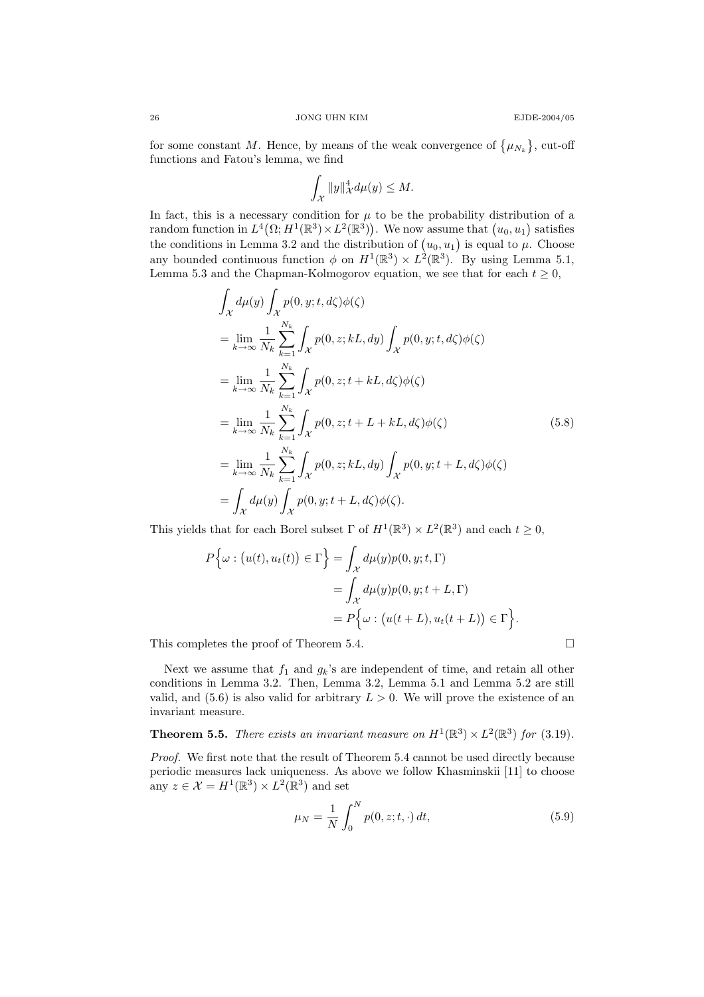for some constant M. Hence, by means of the weak convergence of  $\{\mu_{N_k}\}\,$  cut-off functions and Fatou's lemma, we find

$$
\int_{\mathcal{X}} \|y\|_{\mathcal{X}}^4 d\mu(y) \leq M.
$$

In fact, this is a necessary condition for  $\mu$  to be the probability distribution of a random function in  $L^4(\Omega; H^1(\mathbb{R}^3) \times L^2(\mathbb{R}^3))$ . We now assume that  $(u_0, u_1)$  satisfies the conditions in Lemma 3.2 and the distribution of  $(u_0, u_1)$  is equal to  $\mu$ . Choose any bounded continuous function  $\phi$  on  $H^1(\mathbb{R}^3) \times L^2(\mathbb{R}^3)$ . By using Lemma 5.1, Lemma 5.3 and the Chapman-Kolmogorov equation, we see that for each  $t \geq 0$ ,

$$
\int_{\mathcal{X}} d\mu(y) \int_{\mathcal{X}} p(0, y; t, d\zeta) \phi(\zeta)
$$
\n
$$
= \lim_{k \to \infty} \frac{1}{N_k} \sum_{k=1}^{N_k} \int_{\mathcal{X}} p(0, z; kL, dy) \int_{\mathcal{X}} p(0, y; t, d\zeta) \phi(\zeta)
$$
\n
$$
= \lim_{k \to \infty} \frac{1}{N_k} \sum_{k=1}^{N_k} \int_{\mathcal{X}} p(0, z; t + kL, d\zeta) \phi(\zeta)
$$
\n
$$
= \lim_{k \to \infty} \frac{1}{N_k} \sum_{k=1}^{N_k} \int_{\mathcal{X}} p(0, z; t + L + kL, d\zeta) \phi(\zeta)
$$
\n
$$
= \lim_{k \to \infty} \frac{1}{N_k} \sum_{k=1}^{N_k} \int_{\mathcal{X}} p(0, z; kL, dy) \int_{\mathcal{X}} p(0, y; t + L, d\zeta) \phi(\zeta)
$$
\n
$$
= \int_{\mathcal{X}} d\mu(y) \int_{\mathcal{X}} p(0, y; t + L, d\zeta) \phi(\zeta).
$$
\n(5.8)

This yields that for each Borel subset  $\Gamma$  of  $H^1(\mathbb{R}^3) \times L^2(\mathbb{R}^3)$  and each  $t \geq 0$ ,

$$
P\{\omega : (u(t), u_t(t)) \in \Gamma\} = \int_{\mathcal{X}} d\mu(y) p(0, y; t, \Gamma)
$$
  
= 
$$
\int_{\mathcal{X}} d\mu(y) p(0, y; t + L, \Gamma)
$$
  
= 
$$
P\{\omega : (u(t + L), u_t(t + L)) \in \Gamma\}.
$$

This completes the proof of Theorem 5.4.

Next we assume that  $f_1$  and  $g_k$ 's are independent of time, and retain all other conditions in Lemma 3.2. Then, Lemma 3.2, Lemma 5.1 and Lemma 5.2 are still valid, and  $(5.6)$  is also valid for arbitrary  $L > 0$ . We will prove the existence of an invariant measure.

**Theorem 5.5.** There exists an invariant measure on  $H^1(\mathbb{R}^3) \times L^2(\mathbb{R}^3)$  for (3.19).

Proof. We first note that the result of Theorem 5.4 cannot be used directly because periodic measures lack uniqueness. As above we follow Khasminskii [11] to choose any  $z \in \mathcal{X} = H^1(\mathbb{R}^3) \times L^2(\mathbb{R}^3)$  and set

$$
\mu_N = \frac{1}{N} \int_0^N p(0, z; t, \cdot) dt,
$$
\n(5.9)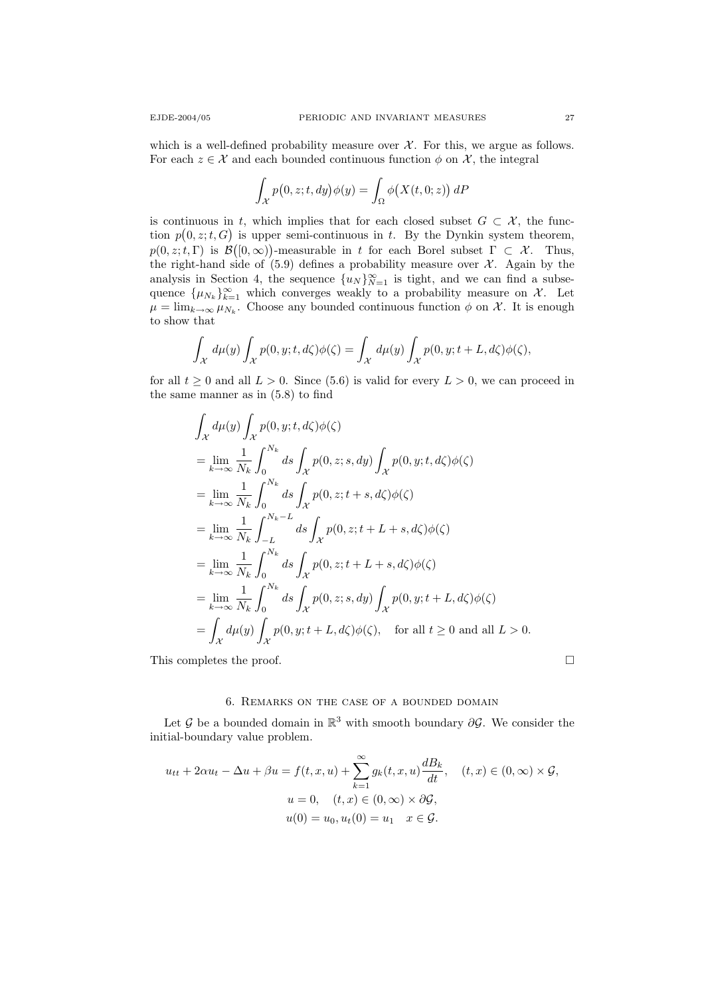which is a well-defined probability measure over  $\mathcal{X}$ . For this, we argue as follows. For each  $z \in \mathcal{X}$  and each bounded continuous function  $\phi$  on  $\mathcal{X}$ , the integral

$$
\int_{\mathcal{X}} p(0, z; t, dy) \phi(y) = \int_{\Omega} \phi\big(X(t, 0; z)\big) dP
$$

is continuous in t, which implies that for each closed subset  $G \subset \mathcal{X}$ , the function  $p(0, z; t, G)$  is upper semi-continuous in t. By the Dynkin system theorem,  $p(0, z; t, \Gamma)$  is  $\mathcal{B}([0, \infty))$ -measurable in t for each Borel subset  $\Gamma \subset \mathcal{X}$ . Thus, the right-hand side of  $(5.9)$  defines a probability measure over  $\mathcal{X}$ . Again by the analysis in Section 4, the sequence  $\{u_N\}_{N=1}^{\infty}$  is tight, and we can find a subsequence  $\{\mu_{N_k}\}_{k=1}^{\infty}$  which converges weakly to a probability measure on X. Let  $\mu = \lim_{k \to \infty} \mu_{N_k}$ . Choose any bounded continuous function  $\phi$  on X. It is enough to show that

$$
\int_{\mathcal{X}} d\mu(y) \int_{\mathcal{X}} p(0, y; t, d\zeta) \phi(\zeta) = \int_{\mathcal{X}} d\mu(y) \int_{\mathcal{X}} p(0, y; t + L, d\zeta) \phi(\zeta),
$$

for all  $t \geq 0$  and all  $L > 0$ . Since (5.6) is valid for every  $L > 0$ , we can proceed in the same manner as in (5.8) to find

$$
\int_{\mathcal{X}} d\mu(y) \int_{\mathcal{X}} p(0, y; t, d\zeta) \phi(\zeta)
$$
\n
$$
= \lim_{k \to \infty} \frac{1}{N_k} \int_0^{N_k} ds \int_{\mathcal{X}} p(0, z; s, dy) \int_{\mathcal{X}} p(0, y; t, d\zeta) \phi(\zeta)
$$
\n
$$
= \lim_{k \to \infty} \frac{1}{N_k} \int_0^{N_k} ds \int_{\mathcal{X}} p(0, z; t + s, d\zeta) \phi(\zeta)
$$
\n
$$
= \lim_{k \to \infty} \frac{1}{N_k} \int_{-L}^{N_k - L} ds \int_{\mathcal{X}} p(0, z; t + L + s, d\zeta) \phi(\zeta)
$$
\n
$$
= \lim_{k \to \infty} \frac{1}{N_k} \int_0^{N_k} ds \int_{\mathcal{X}} p(0, z; t + L + s, d\zeta) \phi(\zeta)
$$
\n
$$
= \lim_{k \to \infty} \frac{1}{N_k} \int_0^{N_k} ds \int_{\mathcal{X}} p(0, z; s, dy) \int_{\mathcal{X}} p(0, y; t + L, d\zeta) \phi(\zeta)
$$
\n
$$
= \int_{\mathcal{X}} d\mu(y) \int_{\mathcal{X}} p(0, y; t + L, d\zeta) \phi(\zeta), \quad \text{for all } t \ge 0 \text{ and all } L > 0.
$$

This completes the proof.  $\Box$ 

### 6. Remarks on the case of a bounded domain

Let  $\mathcal G$  be a bounded domain in  $\mathbb R^3$  with smooth boundary  $\partial \mathcal G$ . We consider the initial-boundary value problem.

$$
u_{tt} + 2\alpha u_t - \Delta u + \beta u = f(t, x, u) + \sum_{k=1}^{\infty} g_k(t, x, u) \frac{dB_k}{dt}, \quad (t, x) \in (0, \infty) \times \mathcal{G},
$$

$$
u = 0, \quad (t, x) \in (0, \infty) \times \partial \mathcal{G},
$$

$$
u(0) = u_0, u_t(0) = u_1 \quad x \in \mathcal{G}.
$$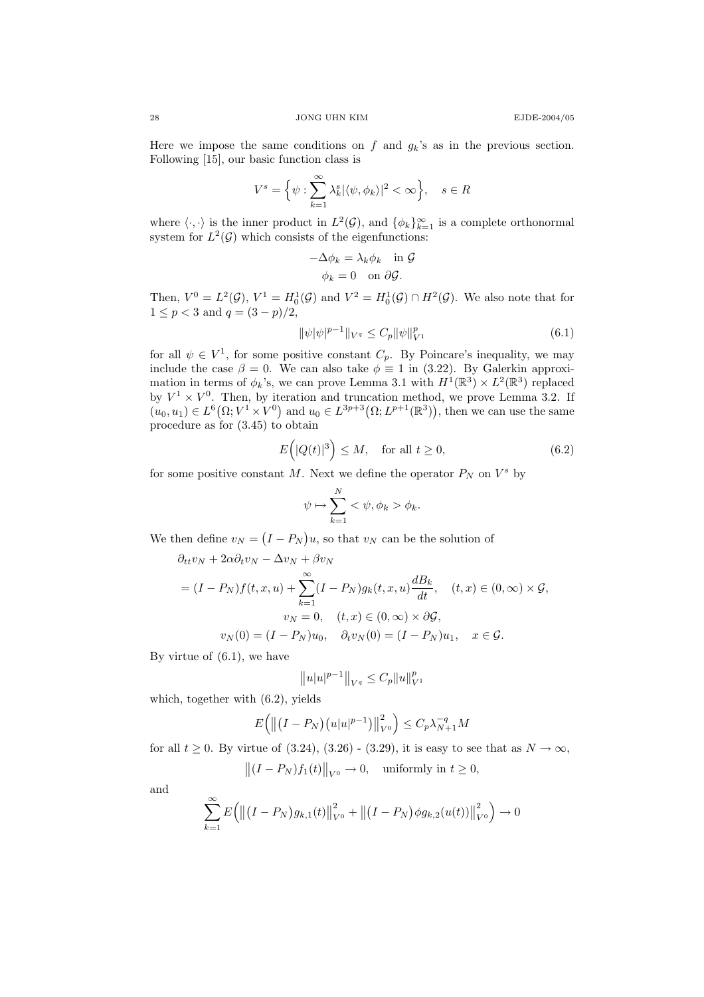Here we impose the same conditions on f and  $g_k$ 's as in the previous section. Following [15], our basic function class is

$$
V^s = \Big\{ \psi : \sum_{k=1}^{\infty} \lambda_k^s |\langle \psi, \phi_k \rangle|^2 < \infty \Big\}, \quad s \in R
$$

where  $\langle \cdot, \cdot \rangle$  is the inner product in  $L^2(\mathcal{G})$ , and  $\{\phi_k\}_{k=1}^{\infty}$  is a complete orthonormal system for  $L^2(\mathcal{G})$  which consists of the eigenfunctions:

$$
-\Delta \phi_k = \lambda_k \phi_k \quad \text{in } \mathcal{G}
$$

$$
\phi_k = 0 \quad \text{on } \partial \mathcal{G}.
$$

Then,  $V^0 = L^2(\mathcal{G}), V^1 = H_0^1(\mathcal{G})$  and  $V^2 = H_0^1(\mathcal{G}) \cap H^2(\mathcal{G}).$  We also note that for  $1 \le p < 3$  and  $q = (3 - p)/2$ ,

$$
\|\psi|\psi|^{p-1}\|_{V^q} \le C_p \|\psi\|_{V^1}^p \tag{6.1}
$$

for all  $\psi \in V^1$ , for some positive constant  $C_p$ . By Poincare's inequality, we may include the case  $\beta = 0$ . We can also take  $\phi \equiv 1$  in (3.22). By Galerkin approximation in terms of  $\phi_k$ 's, we can prove Lemma 3.1 with  $H^1(\mathbb{R}^3) \times L^2(\mathbb{R}^3)$  replaced by  $V^1 \times V^0$ . Then, by iteration and truncation method, we prove Lemma 3.2. If  $(u_0, u_1) \in L^6(\Omega; V^1 \times V^0)$  and  $u_0 \in L^{3p+3}(\Omega; L^{p+1}(\mathbb{R}^3))$ , then we can use the same procedure as for (3.45) to obtain

$$
E(|Q(t)|^3) \le M, \quad \text{for all } t \ge 0,
$$
\n(6.2)

for some positive constant M. Next we define the operator  $P_N$  on  $V^s$  by

$$
\psi \mapsto \sum_{k=1}^N <\psi, \phi_k > \phi_k.
$$

We then define  $v_N = (I - P_N)u$ , so that  $v_N$  can be the solution of

$$
\partial_{tt}v_N + 2\alpha \partial_t v_N - \Delta v_N + \beta v_N
$$
  
=  $(I - P_N)f(t, x, u) + \sum_{k=1}^{\infty} (I - P_N)g_k(t, x, u) \frac{dB_k}{dt}, \quad (t, x) \in (0, \infty) \times \mathcal{G},$   

$$
v_N = 0, \quad (t, x) \in (0, \infty) \times \partial \mathcal{G},
$$
  

$$
v_N(0) = (I - P_N)u_0, \quad \partial_t v_N(0) = (I - P_N)u_1, \quad x \in \mathcal{G}.
$$

By virtue of (6.1), we have

$$
||u|u|^{p-1}||_{V^q}\leq C_p||u||_{V^1}^p
$$

which, together with (6.2), yields

$$
E(||(I - P_N)(u|u|^{p-1})||_{V^0}^2) \le C_p \lambda_{N+1}^{-q} M
$$

for all  $t \geq 0$ . By virtue of  $(3.24)$ ,  $(3.26)$  -  $(3.29)$ , it is easy to see that as  $N \to \infty$ ,

 $||(I - P_N)f_1(t)||_{V^0} \to 0$ , uniformly in  $t \ge 0$ ,

and

$$
\sum_{k=1}^{\infty} E\Big( \big\| (I - P_N) g_{k,1}(t) \big\|_{V^0}^2 + \big\| (I - P_N) \phi g_{k,2}(u(t)) \big\|_{V^0}^2 \Big) \to 0
$$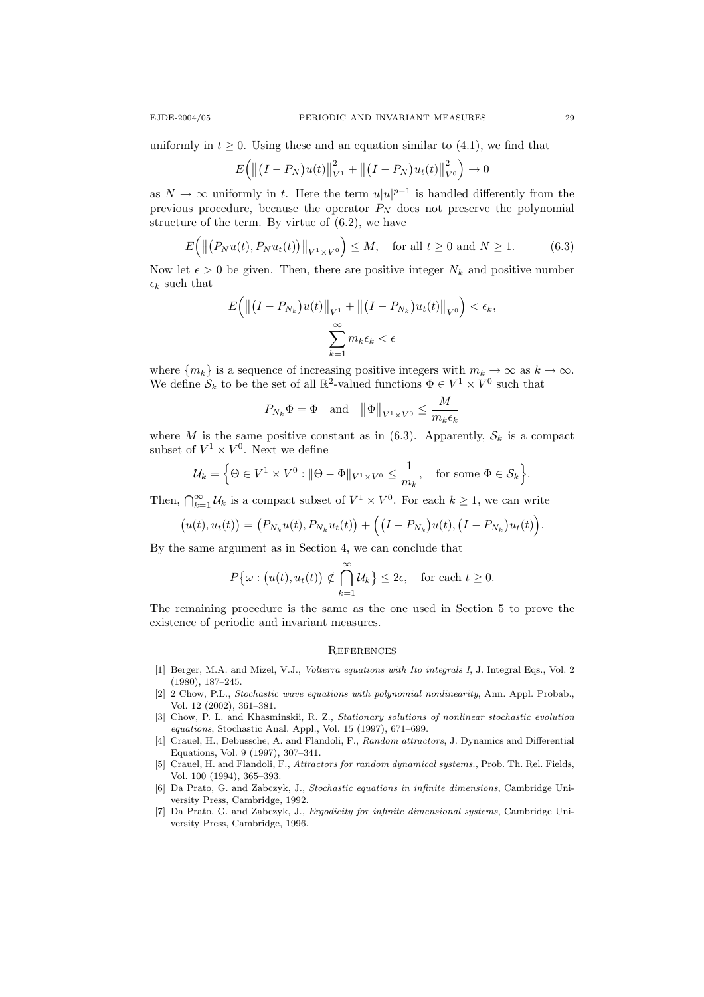uniformly in  $t \geq 0$ . Using these and an equation similar to (4.1), we find that

$$
E(||(I - P_N)u(t)||_{V^1}^2 + ||(I - P_N)u_t(t)||_{V^0}^2) \to 0
$$

as  $N \to \infty$  uniformly in t. Here the term  $u|u|^{p-1}$  is handled differently from the previous procedure, because the operator  $P_N$  does not preserve the polynomial structure of the term. By virtue of (6.2), we have

$$
E\Big(\left\|\big(P_N u(t), P_N u_t(t)\big)\right\|_{V^1 \times V^0}\Big) \le M, \quad \text{for all } t \ge 0 \text{ and } N \ge 1. \tag{6.3}
$$

Now let  $\epsilon > 0$  be given. Then, there are positive integer  $N_k$  and positive number  $\epsilon_k$  such that

$$
E\Big(\big\|\big(I - P_{N_k}\big)u(t)\big\|_{V^1} + \big\|\big(I - P_{N_k}\big)u_t(t)\big\|_{V^0}\Big) < \epsilon_k,
$$
\n
$$
\sum_{k=1}^{\infty} m_k \epsilon_k < \epsilon
$$

where  $\{m_k\}$  is a sequence of increasing positive integers with  $m_k \to \infty$  as  $k \to \infty$ . We define  $S_k$  to be the set of all  $\mathbb{R}^2$ -valued functions  $\Phi \in V^1 \times V^0$  such that

$$
P_{N_k}\Phi = \Phi \quad \text{and} \quad \left\|\Phi\right\|_{V^1 \times V^0} \le \frac{M}{m_k \epsilon_k}
$$

where M is the same positive constant as in  $(6.3)$ . Apparently,  $S_k$  is a compact subset of  $V^1 \times V^0$ . Next we define

$$
\mathcal{U}_k = \Big\{\Theta \in V^1 \times V^0 : \|\Theta - \Phi\|_{V^1 \times V^0} \le \frac{1}{m_k}, \text{ for some } \Phi \in \mathcal{S}_k\Big\}.
$$

Then,  $\bigcap_{k=1}^{\infty} \mathcal{U}_k$  is a compact subset of  $V^1 \times V^0$ . For each  $k \geq 1$ , we can write

$$
(u(t), u_t(t)) = (P_{N_k}u(t), P_{N_k}u_t(t)) + ((I - P_{N_k})u(t), (I - P_{N_k})u_t(t)).
$$

By the same argument as in Section 4, we can conclude that

$$
P\{\omega : (u(t), u_t(t)) \notin \bigcap_{k=1}^{\infty} \mathcal{U}_k\} \leq 2\epsilon, \text{ for each } t \geq 0.
$$

The remaining procedure is the same as the one used in Section 5 to prove the existence of periodic and invariant measures.

#### **REFERENCES**

- [1] Berger, M.A. and Mizel, V.J., Volterra equations with Ito integrals I, J. Integral Eqs., Vol. 2 (1980), 187–245.
- [2] 2 Chow, P.L., Stochastic wave equations with polynomial nonlinearity, Ann. Appl. Probab., Vol. 12 (2002), 361–381.
- [3] Chow, P. L. and Khasminskii, R. Z., Stationary solutions of nonlinear stochastic evolution equations, Stochastic Anal. Appl., Vol. 15 (1997), 671–699.
- [4] Crauel, H., Debussche, A. and Flandoli, F., Random attractors, J. Dynamics and Differential Equations, Vol. 9 (1997), 307–341.
- [5] Crauel, H. and Flandoli, F., Attractors for random dynamical systems., Prob. Th. Rel. Fields, Vol. 100 (1994), 365–393.
- [6] Da Prato, G. and Zabczyk, J., Stochastic equations in infinite dimensions, Cambridge University Press, Cambridge, 1992.
- [7] Da Prato, G. and Zabczyk, J., Ergodicity for infinite dimensional systems, Cambridge University Press, Cambridge, 1996.